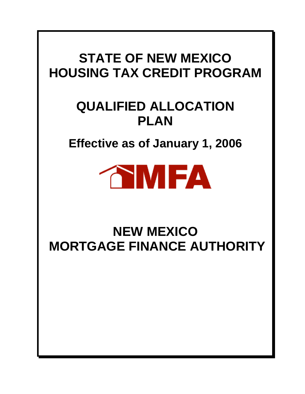# **STATE OF NEW MEXICO HOUSING TAX CREDIT PROGRAM**

# **QUALIFIED ALLOCATION PLAN**

**Effective as of January 1, 2006** 



# **NEW MEXICO MORTGAGE FINANCE AUTHORITY**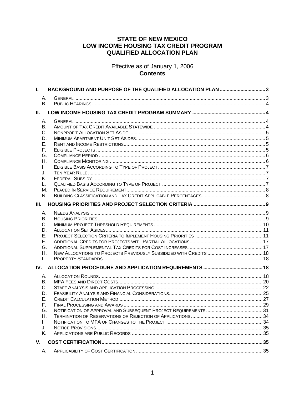# **STATE OF NEW MEXICO** LOW INCOME HOUSING TAX CREDIT PROGRAM **QUALIFIED ALLOCATION PLAN**

Effective as of January 1, 2006 **Contents** 

| L.                                                             | BACKGROUND AND PURPOSE OF THE QUALIFIED ALLOCATION PLAN 3 |  |
|----------------------------------------------------------------|-----------------------------------------------------------|--|
| Α.<br>B <sub>1</sub>                                           |                                                           |  |
| Ш.                                                             |                                                           |  |
| Α.<br>В.<br>C.<br>D.<br>Е.<br>F.<br>G.<br>Η.<br>L.             |                                                           |  |
| J.<br>Κ.<br>L.<br>М.<br>N.<br>III.                             |                                                           |  |
|                                                                |                                                           |  |
| Α.<br>В.<br>C.<br>D.<br>Е.<br>F.<br>G.<br>Η.<br>Τ.             |                                                           |  |
| IV.                                                            |                                                           |  |
| А.<br>В.<br>C.<br>D.<br>Е.<br>F.<br>G.<br>Η.<br>L.<br>J.<br>Κ. |                                                           |  |
| V.                                                             |                                                           |  |
| А.                                                             |                                                           |  |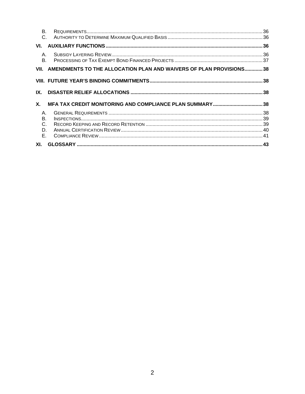| <b>B.</b>                       |                                                                         |  |
|---------------------------------|-------------------------------------------------------------------------|--|
| VI.                             |                                                                         |  |
| A.<br>B.                        |                                                                         |  |
|                                 | VII. AMENDMENTS TO THE ALLOCATION PLAN AND WAIVERS OF PLAN PROVISIONS38 |  |
|                                 |                                                                         |  |
| IX.                             |                                                                         |  |
| X.                              |                                                                         |  |
| Α.<br>В.<br>$C_{1}$<br>D.<br>Е. |                                                                         |  |
|                                 |                                                                         |  |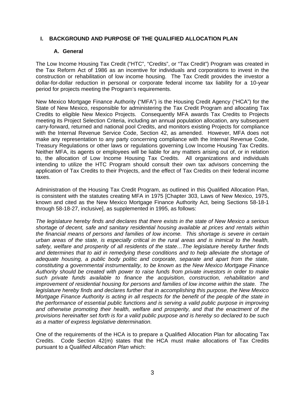## **I. BACKGROUND AND PURPOSE OF THE QUALIFIED ALLOCATION PLAN**

## **A. General**

The Low Income Housing Tax Credit ("HTC", "Credits", or "Tax Credit") Program was created in the Tax Reform Act of 1986 as an incentive for individuals and corporations to invest in the construction or rehabilitation of low income housing. The Tax Credit provides the investor a dollar-for-dollar reduction in personal or corporate federal income tax liability for a 10-year period for projects meeting the Program's requirements.

New Mexico Mortgage Finance Authority ("MFA") is the Housing Credit Agency ("HCA") for the State of New Mexico, responsible for administering the Tax Credit Program and allocating Tax Credits to eligible New Mexico Projects. Consequently MFA awards Tax Credits to Projects meeting its Project Selection Criteria, including an annual population allocation, any subsequent carry-forward, returned and national pool Credits, and monitors existing Projects for compliance with the Internal Revenue Service Code, Section 42, as amended. However, MFA does not make any representation to any party concerning compliance with the Internal Revenue Code, Treasury Regulations or other laws or regulations governing Low Income Housing Tax Credits. Neither MFA, its agents or employees will be liable for any matters arising out of, or in relation to, the allocation of Low Income Housing Tax Credits. All organizations and individuals intending to utilize the HTC Program should consult their own tax advisors concerning the application of Tax Credits to their Projects, and the effect of Tax Credits on their federal income taxes.

Administration of the Housing Tax Credit Program, as outlined in this Qualified Allocation Plan, is consistent with the statutes creating MFA in 1975 [Chapter 303, Laws of New Mexico, 1975, known and cited as the New Mexico Mortgage Finance Authority Act, being Sections 58-18-1 through 58-18-27, inclusive], as supplemented in 1995, as follows:

*The legislature hereby finds and declares that there exists in the state of New Mexico a serious shortage of decent, safe and sanitary residential housing available at prices and rentals within the financial means of persons and families of low income. This shortage is severe in certain urban areas of the state, is especially critical in the rural areas and is inimical to the health, safety, welfare and prosperity of all residents of the state…The legislature hereby further finds and determines that to aid in remedying these conditions and to help alleviate the shortage of adequate housing, a public body politic and corporate, separate and apart from the state, constituting a governmental instrumentality, to be known as the New Mexico Mortgage Finance Authority should be created with power to raise funds from private investors in order to make such private funds available to finance the acquisition, construction, rehabilitation and improvement of residential housing for persons and families of low income within the state. The legislature hereby finds and declares further that in accomplishing this purpose, the New Mexico Mortgage Finance Authority is acting in all respects for the benefit of the people of the state in the performance of essential public functions and is serving a valid public purpose in improving and otherwise promoting their health, welfare and prosperity, and that the enactment of the provisions hereinafter set forth is for a valid public purpose and is hereby so declared to be such as a matter of express legislative determination.* 

One of the requirements of the HCA is to prepare a Qualified Allocation Plan for allocating Tax Credits. Code Section 42(m) states that the HCA must make allocations of Tax Credits pursuant to a Q*ualified Allocation Plan* which: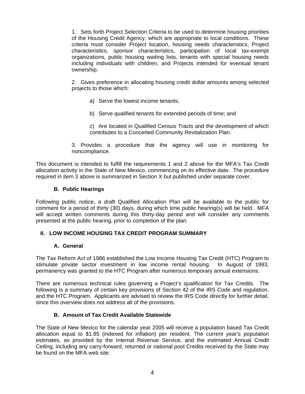1. Sets forth Project Selection Criteria to be used to determine housing priorities of the Housing Credit Agency, which are appropriate to local conditions. These criteria must consider Project location, housing needs characteristics, Project characteristics, sponsor characteristics, participation of local tax-exempt organizations, public housing waiting lists, tenants with special housing needs including individuals with children, and Projects intended for eventual tenant ownership.

2. Gives preference in allocating housing credit dollar amounts among selected projects to those which:

- a) Serve the lowest income tenants;
- b) Serve qualified tenants for extended periods of time; and
- c) Are located in Qualified Census Tracts and the development of which contributes to a Concerted Community Revitalization Plan.
- 3. Provides a procedure that the agency will use in monitoring for noncompliance.

This document is intended to fulfill the requirements 1 and 2 above for the MFA's Tax Credit allocation activity in the State of New Mexico, commencing on its effective date. The procedure required in item 3 above is summarized in Section X but published under separate cover.

## **B. Public Hearings**

Following public notice, a draft Qualified Allocation Plan will be available to the public for comment for a period of thirty (30) days, during which time public hearing(s) will be held. MFA will accept written comments during this thirty-day period and will consider any comments presented at the public hearing, prior to completion of the plan.

## **II. LOW INCOME HOUSING TAX CREDIT PROGRAM SUMMARY**

## **A. General**

The Tax Reform Act of 1986 established the Low Income Housing Tax Credit (HTC) Program to stimulate private sector investment in low income rental housing. In August of 1993, permanency was granted to the HTC Program after numerous temporary annual extensions.

There are numerous technical rules governing a Project's qualification for Tax Credits. The following is a summary of certain key provisions of Section 42 of the IRS Code and regulation, and the HTC Program. Applicants are advised to review the IRS Code directly for further detail, since this overview does not address all of the provisions.

## **B. Amount of Tax Credit Available Statewide**

The State of New Mexico for the calendar year 2005 will receive a population based Tax Credit allocation equal to \$1.85 (indexed for inflation) per resident. The current year's population estimates, as provided by the Internal Revenue Service, and the estimated Annual Credit Ceiling, including any carry-forward, returned or national pool Credits received by the State may be found on the MFA web site.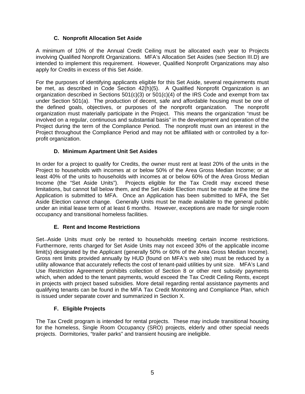# **C. Nonprofit Allocation Set Aside**

A minimum of 10% of the Annual Credit Ceiling must be allocated each year to Projects involving Qualified Nonprofit Organizations. MFA's Allocation Set Asides (see Section III.D) are intended to implement this requirement. However, Qualified Nonprofit Organizations may also apply for Credits in excess of this Set Aside.

For the purposes of identifying applicants eligible for this Set Aside, several requirements must be met, as described in Code Section 42(h)(5). A Qualified Nonprofit Organization is an organization described in Sections  $501(c)(3)$  or  $501(c)(4)$  of the IRS Code and exempt from tax under Section 501(a). The production of decent, safe and affordable housing must be one of the defined goals, objectives, or purposes of the nonprofit organization. The nonprofit organization must materially participate in the Project. This means the organization "must be involved on a regular, continuous and substantial basis" in the development and operation of the Project during the term of the Compliance Period. The nonprofit must own an interest in the Project throughout the Compliance Period and may not be affiliated with or controlled by a forprofit organization.

# **D. Minimum Apartment Unit Set Asides**

In order for a project to qualify for Credits, the owner must rent at least 20% of the units in the Project to households with incomes at or below 50% of the Area Gross Median Income; or at least 40% of the units to households with incomes at or below 60% of the Area Gross Median Income (the "Set Aside Units"). Projects eligible for the Tax Credit may exceed these limitations, but cannot fall below them, and the Set Aside Election must be made at the time the Application is submitted to MFA. Once an Application has been submitted to MFA, the Set Aside Election cannot change. Generally Units must be made available to the general public under an initial lease term of at least 6 months. However, exceptions are made for single room occupancy and transitional homeless facilities.

# **E. Rent and Income Restrictions**

Set-Aside Units must only be rented to households meeting certain income restrictions. Furthermore, rents charged for Set Aside Units may not exceed 30% of the applicable income limit(s) designated by the Applicant (generally 50% or 60% of the Area Gross Median Income). Gross rent limits provided annually by HUD (found on MFA's web site) must be reduced by a utility allowance that accurately reflects the cost of tenant-paid utilities by unit size. MFA's Land Use Restriction Agreement prohibits collection of Section 8 or other rent subsidy payments which, when added to the tenant payments, would exceed the Tax Credit Ceiling Rents, except in projects with project based subsidies. More detail regarding rental assistance payments and qualifying tenants can be found in the MFA Tax Credit Monitoring and Compliance Plan, which is issued under separate cover and summarized in Section X.

# **F. Eligible Projects**

The Tax Credit program is intended for rental projects. These may include transitional housing for the homeless, Single Room Occupancy (SRO) projects, elderly and other special needs projects. Dormitories, "trailer parks" and transient housing are ineligible.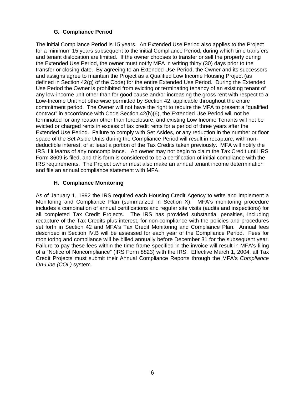# **G. Compliance Period**

The initial Compliance Period is 15 years. An Extended Use Period also applies to the Project for a minimum 15 years subsequent to the initial Compliance Period, during which time transfers and tenant dislocation are limited. If the owner chooses to transfer or sell the property during the Extended Use Period, the owner must notify MFA in writing thirty (30) days prior to the transfer or closing date. By agreeing to an Extended Use Period, the Owner and its successors and assigns agree to maintain the Project as a Qualified Low Income Housing Project (as defined in Section 42(g) of the Code) for the entire Extended Use Period. During the Extended Use Period the Owner is prohibited from evicting or terminating tenancy of an existing tenant of any low-income unit other than for good cause and/or increasing the gross rent with respect to a Low-Income Unit not otherwise permitted by Section 42, applicable throughout the entire commitment period. The Owner will not have the right to require the MFA to present a "qualified contract" in accordance with Code Section 42(h)(6), the Extended Use Period will not be terminated for any reason other than foreclosure, and existing Low Income Tenants will not be evicted or charged rents in excess of tax credit rents for a period of three years after the Extended Use Period. Failure to comply with Set Asides, or any reduction in the number or floor space of the Set Aside Units during the Compliance Period will result in recapture, with nondeductible interest, of at least a portion of the Tax Credits taken previously. MFA will notify the IRS if it learns of any noncompliance. An owner may not begin to claim the Tax Credit until IRS Form 8609 is filed, and this form is considered to be a certification of initial compliance with the IRS requirements. The Project owner must also make an annual tenant income determination and file an annual compliance statement with MFA.

# **H. Compliance Monitoring**

As of January 1, 1992 the IRS required each Housing Credit Agency to write and implement a Monitoring and Compliance Plan (summarized in Section X). MFA's monitoring procedure includes a combination of annual certifications and regular site visits (audits and inspections) for all completed Tax Credit Projects. The IRS has provided substantial penalties, including recapture of the Tax Credits plus interest, for non-compliance with the policies and procedures set forth in Section 42 and MFA's Tax Credit Monitoring and Compliance Plan. Annual fees described in Section IV.B will be assessed for each year of the Compliance Period. Fees for monitoring and compliance will be billed annually before December 31 for the subsequent year. Failure to pay these fees within the time frame specified in the invoice will result in MFA's filing of a "Notice of Noncompliance" (IRS Form 8823) with the IRS. Effective March 1, 2004, all Tax Credit Projects must submit their Annual Compliance Reports through the MFA's *Compliance On-Line (COL)* system.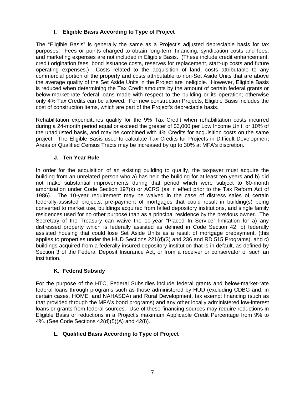# **I. Eligible Basis According to Type of Project**

The "Eligible Basis" is generally the same as a Project's adjusted depreciable basis for tax purposes. Fees or points charged to obtain long-term financing, syndication costs and fees, and marketing expenses are not included in Eligible Basis. (These include credit enhancement, credit origination fees, bond issuance costs, reserves for replacement, start-up costs and future operating expenses.) Costs related to the acquisition of land, costs attributable to any commercial portion of the property and costs attributable to non-Set Aside Units that are above the average quality of the Set Aside Units in the Project are ineligible. However, Eligible Basis is reduced when determining the Tax Credit amounts by the amount of certain federal grants or below-market-rate federal loans made with respect to the building or its operation; otherwise only 4% Tax Credits can be allowed. For new construction Projects, Eligible Basis includes the cost of construction items, which are part of the Project's depreciable basis.

Rehabilitation expenditures qualify for the 9% Tax Credit when rehabilitation costs incurred during a 24-month period equal or exceed the greater of \$3,000 per Low Income Unit, or 10% of the unadjusted basis, and may be combined with 4% Credits for acquisition costs on the same project. The Eligible Basis used to calculate Tax Credits for Projects in Difficult Development Areas or Qualified Census Tracts may be increased by up to 30% at MFA's discretion.

# **J. Ten Year Rule**

In order for the acquisition of an existing building to qualify, the taxpayer must acquire the building from an unrelated person who a) has held the building for at least ten years and b) did not make substantial improvements during that period which were subject to 60-month amortization under Code Section 197(k) or ACRS (as in effect prior to the Tax Reform Act of 1986). The 10-year requirement may be waived in the case of distress sales of certain federally-assisted projects, pre-payment of mortgages that could result in building(s) being converted to market use, buildings acquired from failed depository institutions, and single family residences used for no other purpose than as a principal residence by the previous owner. The Secretary of the Treasury can waive the 10-year "Placed In Service" limitation for a) any distressed property which is federally assisted as defined in Code Section 42, b) federally assisted housing that could lose Set Aside Units as a result of mortgage prepayment, (this applies to properties under the HUD Sections  $221(d)(3)$  and  $236$  and RD 515 Programs), and c) buildings acquired from a federally insured depository institution that is in default, as defined by Section 3 of the Federal Deposit Insurance Act, or from a receiver or conservator of such an institution.

# **K. Federal Subsidy**

For the purpose of the HTC, Federal Subsidies include federal grants and below-market-rate federal loans through programs such as those administered by HUD (excluding CDBG and, in certain cases, HOME, and NAHASDA) and Rural Development, tax exempt financing (such as that provided through the MFA's bond programs) and any other locally administered low-interest loans or grants from federal sources. Use of these financing sources may require reductions in Eligible Basis or reductions in a Project's maximum Applicable Credit Percentage from 9% to 4%. (See Code Sections 42(d)(5)(A) and 42(i)).

# **L. Qualified Basis According to Type of Project**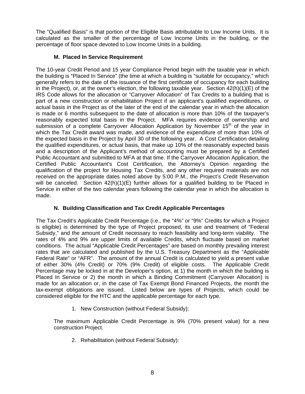The "Qualified Basis" is that portion of the Eligible Basis attributable to Low Income Units. It is calculated as the smaller of the percentage of Low Income Units in the building, or the percentage of floor space devoted to Low Income Units in a building.

# **M. Placed In Service Requirement**

The 10-year Credit Period and 15 year Compliance Period begin with the taxable year in which the building is "Placed In Service" (the time at which a building is "suitable for occupancy," which generally refers to the date of the issuance of the first certificate of occupancy for each building in the Project), or, at the owner's election, the following taxable year. Section  $42(h)(1)(E)$  of the IRS Code allows for the allocation or "Carryover Allocation" of Tax Credits to a building that is part of a new construction or rehabilitation Project if an applicant's qualified expenditures, or actual basis in the Project as of the later of the end of the calendar year in which the allocation is made or 6 months subsequent to the date of allocation is more than 10% of the taxpayer's reasonably expected total basis in the Project. MFA requires evidence of ownership and submission of a complete Carryover Allocation Application by November  $15<sup>th</sup>$  of the year in which the Tax Credit award was made, and evidence of the expenditure of more than 10% of the expected basis in the Project by April 30 of the following year. A Cost Certification detailing the qualified expenditures, or actual basis, that make up 10% of the reasonably expected basis and a description of the Applicant's method of accounting must be prepared by a Certified Public Accountant and submitted to MFA at that time. If the Carryover Allocation Application, the Certified Public Accountant's Cost Certification, the Attorney's Opinion regarding the qualification of the project for Housing Tax Credits, and any other required materials are not received on the appropriate dates noted above by 5:00 P.M., the Project's Credit Reservation will be canceled. Section  $42(h)(1)(E)$  further allows for a qualified building to be Placed in Service in either of the two calendar years following the calendar year in which the allocation is made.

# **N. Building Classification and Tax Credit Applicable Percentages**

The Tax Credit's Applicable Credit Percentage (i.e., the "4%" or "9%" Credits for which a Project is eligible) is determined by the type of Project proposed, its use and treatment of "Federal Subsidy," and the amount of Credit necessary to reach feasibility and long-term viability. The rates of 4% and 9% are upper limits of available Credits, which fluctuate based on market conditions. The actual "Applicable Credit Percentages" are based on monthly prevailing interest rates that are calculated and published by the U.S. Treasury Department as the "Applicable Federal Rate" or "AFR". The amount of the annual Credit is calculated to yield a present value of either 30% (4% Credit) or 70% (9% Credit) of eligible costs. The Applicable Credit Percentage may be locked in at the Developer's option, at 1) the month in which the building is Placed In Service or 2) the month in which a Binding Commitment (Carryover Allocation) is made for an allocation or, in the case of Tax Exempt Bond Financed Projects, the month the tax-exempt obligations are issued. Listed below are types of Projects, which could be considered eligible for the HTC and the applicable percentage for each type.

1. New Construction (without Federal Subsidy):

The maximum Applicable Credit Percentage is 9% (70% present value) for a new construction Project.

2. Rehabilitation (without Federal Subsidy):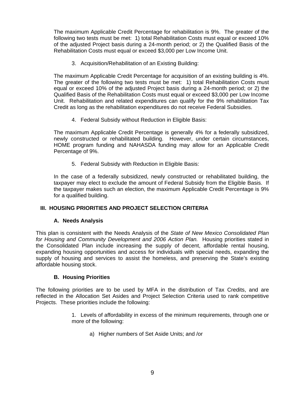The maximum Applicable Credit Percentage for rehabilitation is 9%. The greater of the following two tests must be met: 1) total Rehabilitation Costs must equal or exceed 10% of the adjusted Project basis during a 24-month period; or 2) the Qualified Basis of the Rehabilitation Costs must equal or exceed \$3,000 per Low Income Unit.

3. Acquisition/Rehabilitation of an Existing Building:

The maximum Applicable Credit Percentage for acquisition of an existing building is 4%. The greater of the following two tests must be met: 1) total Rehabilitation Costs must equal or exceed 10% of the adjusted Project basis during a 24-month period; or 2) the Qualified Basis of the Rehabilitation Costs must equal or exceed \$3,000 per Low Income Unit. Rehabilitation and related expenditures can qualify for the 9% rehabilitation Tax Credit as long as the rehabilitation expenditures do not receive Federal Subsidies.

4. Federal Subsidy without Reduction in Eligible Basis:

The maximum Applicable Credit Percentage is generally 4% for a federally subsidized, newly constructed or rehabilitated building. However, under certain circumstances, HOME program funding and NAHASDA funding may allow for an Applicable Credit Percentage of 9%.

5. Federal Subsidy with Reduction in Eligible Basis:

In the case of a federally subsidized, newly constructed or rehabilitated building, the taxpayer may elect to exclude the amount of Federal Subsidy from the Eligible Basis. If the taxpayer makes such an election, the maximum Applicable Credit Percentage is 9% for a qualified building.

# **III. HOUSING PRIORITIES AND PROJECT SELECTION CRITERIA**

## **A. Needs Analysis**

This plan is consistent with the Needs Analysis of the *State of New Mexico Consolidated Plan for Housing and Community Development and 2006 Action Plan.* Housing priorities stated in the Consolidated Plan include increasing the supply of decent, affordable rental housing, expanding housing opportunities and access for individuals with special needs, expanding the supply of housing and services to assist the homeless, and preserving the State's existing affordable housing stock.

## **B. Housing Priorities**

The following priorities are to be used by MFA in the distribution of Tax Credits, and are reflected in the Allocation Set Asides and Project Selection Criteria used to rank competitive Projects. These priorities include the following:

- 1. Levels of affordability in excess of the minimum requirements, through one or more of the following:
	- a) Higher numbers of Set Aside Units; and /or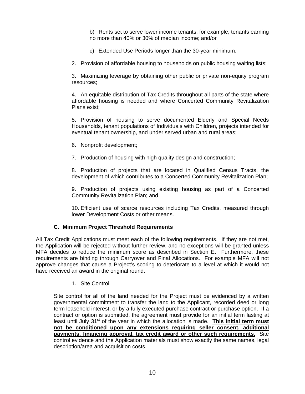b) Rents set to serve lower income tenants, for example, tenants earning no more than 40% or 30% of median income; and/or

- c) Extended Use Periods longer than the 30-year minimum.
- 2. Provision of affordable housing to households on public housing waiting lists;

3. Maximizing leverage by obtaining other public or private non-equity program resources;

4. An equitable distribution of Tax Credits throughout all parts of the state where affordable housing is needed and where Concerted Community Revitalization Plans exist;

5. Provision of housing to serve documented Elderly and Special Needs Households, tenant populations of Individuals with Children, projects intended for eventual tenant ownership, and under served urban and rural areas;

- 6. Nonprofit development;
- 7. Production of housing with high quality design and construction;

8. Production of projects that are located in Qualified Census Tracts, the development of which contributes to a Concerted Community Revitalization Plan;

9. Production of projects using existing housing as part of a Concerted Community Revitalization Plan; and

10. Efficient use of scarce resources including Tax Credits, measured through lower Development Costs or other means.

## **C. Minimum Project Threshold Requirements**

All Tax Credit Applications must meet each of the following requirements. If they are not met, the Application will be rejected without further review, and no exceptions will be granted unless MFA decides to reduce the minimum score as described in Section E. Furthermore, these requirements are binding through Carryover and Final Allocations. For example MFA will not approve changes that cause a Project's scoring to deteriorate to a level at which it would not have received an award in the original round.

1. Site Control

Site control for all of the land needed for the Project must be evidenced by a written governmental commitment to transfer the land to the Applicant, recorded deed or long term leasehold interest, or by a fully executed purchase contract or purchase option. If a contract or option is submitted, the agreement must provide for an initial term lasting at least until July 31<sup>st</sup> of the year in which the allocation is made. **This initial term must not be conditioned upon any extensions requiring seller consent, additional payments, financing approval, tax credit award or other such requirements.** Site control evidence and the Application materials must show exactly the same names, legal description/area and acquisition costs.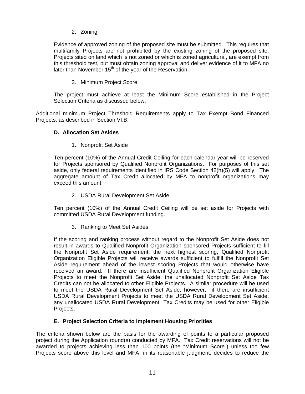2. Zoning

Evidence of approved zoning of the proposed site must be submitted. This requires that multifamily Projects are not prohibited by the existing zoning of the proposed site. Projects sited on land which is not zoned or which is zoned agricultural, are exempt from this threshold test, but must obtain zoning approval and deliver evidence of it to MFA no later than November  $15<sup>th</sup>$  of the year of the Reservation.

## 3. Minimum Project Score

The project must achieve at least the Minimum Score established in the Project Selection Criteria as discussed below.

Additional minimum Project Threshold Requirements apply to Tax Exempt Bond Financed Projects, as described in Section VI.B.

## **D. Allocation Set Asides**

1. Nonprofit Set Aside

Ten percent (10%) of the Annual Credit Ceiling for each calendar year will be reserved for Projects sponsored by Qualified Nonprofit Organizations. For purposes of this set aside, only federal requirements identified in IRS Code Section 42(h)(5) will apply. The aggregate amount of Tax Credit allocated by MFA to nonprofit organizations may exceed this amount.

2. USDA Rural Development Set Aside

Ten percent (10%) of the Annual Credit Ceiling will be set aside for Projects with committed USDA Rural Development funding.

3. Ranking to Meet Set Asides

If the scoring and ranking process without regard to the Nonprofit Set Aside does not result in awards to Qualified Nonprofit Organization sponsored Projects sufficient to fill the Nonprofit Set Aside requirement, the next highest scoring, Qualified Nonprofit Organization Eligible Projects will receive awards sufficient to fulfill the Nonprofit Set Aside requirement ahead of the lowest scoring Projects that would otherwise have received an award. If there are insufficient Qualified Nonprofit Organization Eligible Projects to meet the Nonprofit Set Aside, the unallocated Nonprofit Set Aside Tax Credits can not be allocated to other Eligible Projects. A similar procedure will be used to meet the USDA Rural Development Set Aside; however, if there are insufficient USDA Rural Development Projects to meet the USDA Rural Development Set Aside, any unallocated USDA Rural Development Tax Credits may be used for other Eligible Projects.

## **E. Project Selection Criteria to Implement Housing Priorities**

The criteria shown below are the basis for the awarding of points to a particular proposed project during the Application round(s) conducted by MFA. Tax Credit reservations will not be awarded to projects achieving less than 100 points (the "Minimum Score") unless too few Projects score above this level and MFA, in its reasonable judgment, decides to reduce the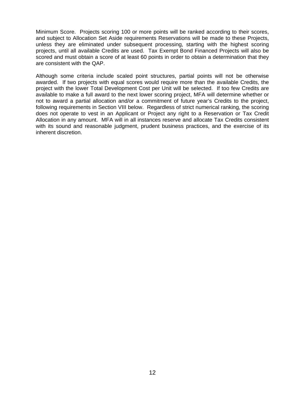Minimum Score. Projects scoring 100 or more points will be ranked according to their scores, and subject to Allocation Set Aside requirements Reservations will be made to these Projects, unless they are eliminated under subsequent processing, starting with the highest scoring projects, until all available Credits are used. Tax Exempt Bond Financed Projects will also be scored and must obtain a score of at least 60 points in order to obtain a determination that they are consistent with the QAP.

Although some criteria include scaled point structures, partial points will not be otherwise awarded. If two projects with equal scores would require more than the available Credits, the project with the lower Total Development Cost per Unit will be selected. If too few Credits are available to make a full award to the next lower scoring project, MFA will determine whether or not to award a partial allocation and/or a commitment of future year's Credits to the project, following requirements in Section VIII below. Regardless of strict numerical ranking, the scoring does not operate to vest in an Applicant or Project any right to a Reservation or Tax Credit Allocation in any amount. MFA will in all instances reserve and allocate Tax Credits consistent with its sound and reasonable judgment, prudent business practices, and the exercise of its inherent discretion.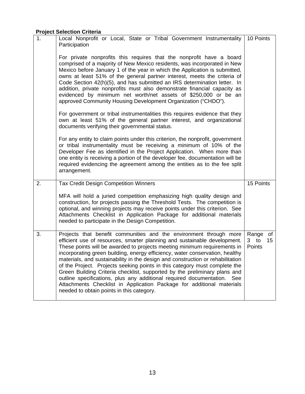# **Project Selection Criteria**

| 1. | Local Nonprofit or Local, State or Tribal Government Instrumentality<br>Participation<br>For private nonprofits this requires that the nonprofit have a board<br>comprised of a majority of New Mexico residents, was incorporated in New<br>Mexico before January 1 of the year in which the Application is submitted,<br>owns at least 51% of the general partner interest, meets the criteria of<br>Code Section 42(h)(5), and has submitted an IRS determination letter. In<br>addition, private nonprofits must also demonstrate financial capacity as                                                                                                                                                                                                  | 10 Points                                      |
|----|--------------------------------------------------------------------------------------------------------------------------------------------------------------------------------------------------------------------------------------------------------------------------------------------------------------------------------------------------------------------------------------------------------------------------------------------------------------------------------------------------------------------------------------------------------------------------------------------------------------------------------------------------------------------------------------------------------------------------------------------------------------|------------------------------------------------|
|    | evidenced by minimum net worth/net assets of \$250,000 or be an<br>approved Community Housing Development Organization ("CHDO").<br>For government or tribal instrumentalities this requires evidence that they<br>own at least 51% of the general partner interest, and organizational<br>documents verifying their governmental status.                                                                                                                                                                                                                                                                                                                                                                                                                    |                                                |
|    | For any entity to claim points under this criterion, the nonprofit, government<br>or tribal instrumentality must be receiving a minimum of 10% of the<br>Developer Fee as identified in the Project Application. When more than<br>one entity is receiving a portion of the developer fee, documentation will be<br>required evidencing the agreement among the entities as to the fee split<br>arrangement.                                                                                                                                                                                                                                                                                                                                                 |                                                |
| 2. | <b>Tax Credit Design Competition Winners</b><br>MFA will hold a juried competition emphasizing high quality design and<br>construction, for projects passing the Threshold Tests. The competition is<br>optional, and winning projects may receive points under this criterion. See<br>Attachments Checklist in Application Package for additional materials<br>needed to participate in the Design Competition.                                                                                                                                                                                                                                                                                                                                             | 15 Points                                      |
| 3. | Projects that benefit communities and the environment through more<br>efficient use of resources, smarter planning and sustainable development.<br>These points will be awarded to projects meeting minimum requirements in<br>incorporating green building, energy efficiency, water conservation, healthy<br>materials, and sustainability in the design and construction or rehabilitation<br>of the Project. Projects seeking points in this category must complete the<br>Green Building Criteria checklist, supported by the preliminary plans and<br>outline specifications, plus any additional required documentation.<br>See<br>Attachments Checklist in Application Package for additional materials<br>needed to obtain points in this category. | Range of<br>3 to<br>15 <sub>15</sub><br>Points |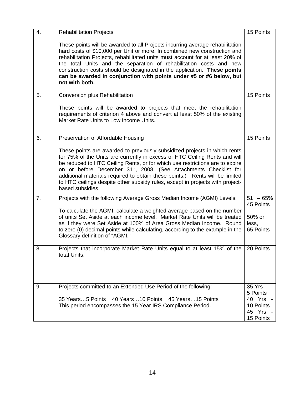| 4. | <b>Rehabilitation Projects</b>                                                                                                                                                                                                                                                                                                                                                                                                                                                                                | 15 Points                                                  |
|----|---------------------------------------------------------------------------------------------------------------------------------------------------------------------------------------------------------------------------------------------------------------------------------------------------------------------------------------------------------------------------------------------------------------------------------------------------------------------------------------------------------------|------------------------------------------------------------|
|    | These points will be awarded to all Projects incurring average rehabilitation<br>hard costs of \$10,000 per Unit or more. In combined new construction and<br>rehabilitation Projects, rehabilitated units must account for at least 20% of<br>the total Units and the separation of rehabilitation costs and new<br>construction costs should be designated in the application. These points<br>can be awarded in conjunction with points under #5 or #6 below, but<br>not with both.                        |                                                            |
| 5. | Conversion plus Rehabilitation                                                                                                                                                                                                                                                                                                                                                                                                                                                                                | 15 Points                                                  |
|    | These points will be awarded to projects that meet the rehabilitation<br>requirements of criterion 4 above and convert at least 50% of the existing<br>Market Rate Units to Low Income Units.                                                                                                                                                                                                                                                                                                                 |                                                            |
| 6. | Preservation of Affordable Housing                                                                                                                                                                                                                                                                                                                                                                                                                                                                            | 15 Points                                                  |
|    | These points are awarded to previously subsidized projects in which rents<br>for 75% of the Units are currently in excess of HTC Ceiling Rents and will<br>be reduced to HTC Ceiling Rents, or for which use restrictions are to expire<br>on or before December 31 <sup>st</sup> , 2008. (See Attachments Checklist for<br>additional materials required to obtain these points.) Rents will be limited<br>to HTC ceilings despite other subsidy rules, except in projects with project-<br>based subsidies. |                                                            |
| 7. | Projects with the following Average Gross Median Income (AGMI) Levels:                                                                                                                                                                                                                                                                                                                                                                                                                                        | $51 - 65%$<br>45 Points                                    |
|    | To calculate the AGMI, calculate a weighted average based on the number<br>of units Set Aside at each income level. Market Rate Units will be treated<br>as if they were Set Aside at 100% of Area Gross Median Income. Round<br>to zero (0) decimal points while calculating, according to the example in the<br>Glossary definition of "AGMI."                                                                                                                                                              | 50% or<br>less,<br>65 Points                               |
| 8. | Projects that incorporate Market Rate Units equal to at least 15% of the<br>total Units.                                                                                                                                                                                                                                                                                                                                                                                                                      | 20 Points                                                  |
| 9. | Projects committed to an Extended Use Period of the following:                                                                                                                                                                                                                                                                                                                                                                                                                                                | 35 Yrs -                                                   |
|    | 40 Years10 Points 45 Years15 Points<br>35 Years5 Points<br>This period encompasses the 15 Year IRS Compliance Period.                                                                                                                                                                                                                                                                                                                                                                                         | 5 Points<br>40 Yrs -<br>10 Points<br>45 Yrs -<br>15 Points |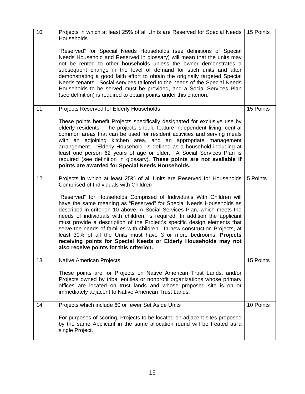| 10. | Projects in which at least 25% of all Units are Reserved for Special Needs   15 Points<br>Households                                                                                                                                                                                                                                                                                                                                                                                                                                                                                                                                                   |           |
|-----|--------------------------------------------------------------------------------------------------------------------------------------------------------------------------------------------------------------------------------------------------------------------------------------------------------------------------------------------------------------------------------------------------------------------------------------------------------------------------------------------------------------------------------------------------------------------------------------------------------------------------------------------------------|-----------|
|     | "Reserved" for Special Needs Households (see definitions of Special<br>Needs Household and Reserved in glossary) will mean that the units may<br>not be rented to other households unless the owner demonstrates a<br>subsequent change in the level of demand for such units and after<br>demonstrating a good faith effort to obtain the originally targeted Special<br>Needs tenants. Social services tailored to the needs of the Special Needs<br>Households to be served must be provided, and a Social Services Plan<br>(see definition) is required to obtain points under this criterion.                                                     |           |
| 11. | Projects Reserved for Elderly Households                                                                                                                                                                                                                                                                                                                                                                                                                                                                                                                                                                                                               | 15 Points |
|     | These points benefit Projects specifically designated for exclusive use by<br>elderly residents. The projects should feature independent living, central<br>common areas that can be used for resident activities and serving meals<br>with an adjoining kitchen area, and an appropriate management<br>arrangement. "Elderly Household" is defined as a household including at<br>least one person 62 years of age or older. A Social Services Plan is<br>required (see definition in glossary). These points are not available if<br>points are awarded for Special Needs Households.                                                                |           |
| 12. | Projects in which at least 25% of all Units are Reserved for Households<br>Comprised of Individuals with Children                                                                                                                                                                                                                                                                                                                                                                                                                                                                                                                                      | 5 Points  |
|     | "Reserved" for Households Comprised of Individuals With Children will<br>have the same meaning as "Reserved" for Special Needs Households as<br>described in criterion 10 above. A Social Services Plan, which meets the<br>needs of individuals with children, is required. In addition the applicant<br>must provide a description of the Project's specific design elements that<br>serve the needs of families with children. In new construction Projects, at<br>least 30% of all the Units must have 3 or more bedrooms. Projects<br>receiving points for Special Needs or Elderly Households may not<br>also receive points for this criterion. |           |
| 13. | <b>Native American Projects</b>                                                                                                                                                                                                                                                                                                                                                                                                                                                                                                                                                                                                                        | 15 Points |
|     | These points are for Projects on Native American Trust Lands, and/or<br>Projects owned by tribal entities or nonprofit organizations whose primary<br>offices are located on trust lands and whose proposed site is on or<br>immediately adjacent to Native American Trust Lands.                                                                                                                                                                                                                                                                                                                                                                      |           |
| 14. | Projects which include 60 or fewer Set Aside Units                                                                                                                                                                                                                                                                                                                                                                                                                                                                                                                                                                                                     | 10 Points |
|     | For purposes of scoring, Projects to be located on adjacent sites proposed<br>by the same Applicant in the same allocation round will be treated as a<br>single Project.                                                                                                                                                                                                                                                                                                                                                                                                                                                                               |           |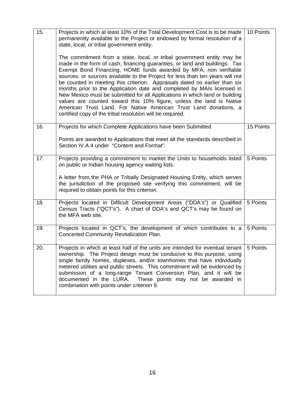| 15. | Projects in which at least 10% of the Total Development Cost is to be made<br>permanently available to the Project or endowed by formal resolution of a<br>state, local, or tribal government entity.<br>The commitment from a state, local, or tribal government entity may be<br>made in the form of cash, financing guaranties, or land and buildings. Tax<br>Exempt Bond Financing, HOME funds awarded by MFA, non verifiable<br>sources, or sources available to the Project for less than ten years will not<br>be counted in meeting this criterion. Appraisals dated no earlier than six<br>months prior to the Application date and completed by MAIs licensed in<br>New Mexico must be submitted for all Applications in which land or building<br>values are counted toward this 10% figure, unless the land is Native<br>American Trust Land. For Native American Trust Land donations, a<br>certified copy of the tribal resolution will be required. | 10 Points |
|-----|--------------------------------------------------------------------------------------------------------------------------------------------------------------------------------------------------------------------------------------------------------------------------------------------------------------------------------------------------------------------------------------------------------------------------------------------------------------------------------------------------------------------------------------------------------------------------------------------------------------------------------------------------------------------------------------------------------------------------------------------------------------------------------------------------------------------------------------------------------------------------------------------------------------------------------------------------------------------|-----------|
| 16. | Projects for which Complete Applications have been Submitted<br>Points are awarded to Applications that meet all the standards described in<br>Section IV.A.4 under "Content and Format".                                                                                                                                                                                                                                                                                                                                                                                                                                                                                                                                                                                                                                                                                                                                                                          | 15 Points |
| 17. | Projects providing a commitment to market the Units to households listed<br>on public or Indian housing agency waiting lists.<br>A letter from the PHA or Tribally Designated Housing Entity, which serves<br>the jurisdiction of the proposed site verifying this commitment, will be<br>required to obtain points for this criterion.                                                                                                                                                                                                                                                                                                                                                                                                                                                                                                                                                                                                                            | 5 Points  |
| 18. | Projects located in Difficult Development Areas ("DDA's") or Qualified<br>Census Tracts ("QCT's"). A chart of DDA's and QCT's may be found on<br>the MFA web site.                                                                                                                                                                                                                                                                                                                                                                                                                                                                                                                                                                                                                                                                                                                                                                                                 | 5 Points  |
| 19. | Projects located in QCT's, the development of which contributes to a<br><b>Concerted Community Revitalization Plan.</b>                                                                                                                                                                                                                                                                                                                                                                                                                                                                                                                                                                                                                                                                                                                                                                                                                                            | 5 Points  |
| 20. | Projects in which at least half of the units are intended for eventual tenant<br>ownership. The Project design must be conducive to this purpose, using<br>single family homes, duplexes, and/or townhomes that have individually<br>metered utilities and public streets. This commitment will be evidenced by<br>submission of a long-range Tenant Conversion Plan, and it will be<br>documented in the LURA.<br>These points may not be awarded in<br>combination with points under criterion 9.                                                                                                                                                                                                                                                                                                                                                                                                                                                                | 5 Points  |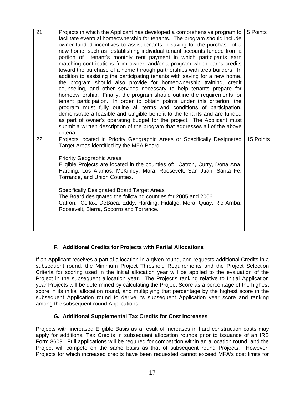| 21. | Projects in which the Applicant has developed a comprehensive program to<br>facilitate eventual homeownership for tenants. The program should include<br>owner funded incentives to assist tenants in saving for the purchase of a<br>new home, such as establishing individual tenant accounts funded from a<br>portion of tenant's monthly rent payment in which participants earn<br>matching contributions from owner, and/or a program which earns credits<br>toward the purchase of a home through partnerships with area builders. In<br>addition to assisting the participating tenants with saving for a new home,<br>the program should also provide for homeownership training, credit<br>counseling, and other services necessary to help tenants prepare for<br>homeownership. Finally, the program should outline the requirements for<br>tenant participation. In order to obtain points under this criterion, the<br>program must fully outline all terms and conditions of participation, | 5 Points  |
|-----|------------------------------------------------------------------------------------------------------------------------------------------------------------------------------------------------------------------------------------------------------------------------------------------------------------------------------------------------------------------------------------------------------------------------------------------------------------------------------------------------------------------------------------------------------------------------------------------------------------------------------------------------------------------------------------------------------------------------------------------------------------------------------------------------------------------------------------------------------------------------------------------------------------------------------------------------------------------------------------------------------------|-----------|
|     | demonstrate a feasible and tangible benefit to the tenants and are funded<br>as part of owner's operating budget for the project. The Applicant must<br>submit a written description of the program that addresses all of the above<br>criteria.                                                                                                                                                                                                                                                                                                                                                                                                                                                                                                                                                                                                                                                                                                                                                           |           |
| 22. | Projects located in Priority Geographic Areas or Specifically Designated<br>Target Areas identified by the MFA Board.                                                                                                                                                                                                                                                                                                                                                                                                                                                                                                                                                                                                                                                                                                                                                                                                                                                                                      | 15 Points |
|     | <b>Priority Geographic Areas</b><br>Eligible Projects are located in the counties of: Catron, Curry, Dona Ana,<br>Harding, Los Alamos, McKinley, Mora, Roosevelt, San Juan, Santa Fe,<br>Torrance, and Union Counties.                                                                                                                                                                                                                                                                                                                                                                                                                                                                                                                                                                                                                                                                                                                                                                                     |           |
|     | <b>Specifically Designated Board Target Areas</b><br>The Board designated the following counties for 2005 and 2006:<br>Catron, Colfax, DeBaca, Eddy, Harding, Hidalgo, Mora, Quay, Rio Arriba,<br>Roosevelt, Sierra, Socorro and Torrance.                                                                                                                                                                                                                                                                                                                                                                                                                                                                                                                                                                                                                                                                                                                                                                 |           |
|     |                                                                                                                                                                                                                                                                                                                                                                                                                                                                                                                                                                                                                                                                                                                                                                                                                                                                                                                                                                                                            |           |

# **F. Additional Credits for Projects with Partial Allocations**

If an Applicant receives a partial allocation in a given round, and requests additional Credits in a subsequent round, the Minimum Project Threshold Requirements and the Project Selection Criteria for scoring used in the initial allocation year will be applied to the evaluation of the Project in the subsequent allocation year. The Project's ranking relative to Initial Application year Projects will be determined by calculating the Project Score as a percentage of the highest score in its initial allocation round, and multiplying that percentage by the highest score in the subsequent Application round to derive its subsequent Application year score and ranking among the subsequent round Applications.

# **G. Additional Supplemental Tax Credits for Cost Increases**

Projects with increased Eligible Basis as a result of increases in hard construction costs may apply for additional Tax Credits in subsequent allocation rounds prior to issuance of an IRS Form 8609. Full applications will be required for competition within an allocation round, and the Project will compete on the same basis as that of subsequent round Projects. However, Projects for which increased credits have been requested cannot exceed MFA's cost limits for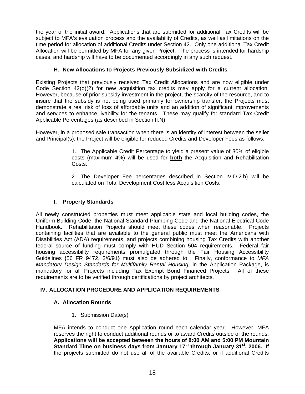the year of the initial award. Applications that are submitted for additional Tax Credits will be subject to MFA's evaluation process and the availability of Credits, as well as limitations on the time period for allocation of additional Credits under Section 42. Only one additional Tax Credit Allocation will be permitted by MFA for any given Project. The process is intended for hardship cases, and hardship will have to be documented accordingly in any such request.

## **H. New Allocations to Projects Previously Subsidized with Credits**

Existing Projects that previously received Tax Credit Allocations and are now eligible under Code Section 42(d)(2) for new acquisition tax credits may apply for a current allocation. However, because of prior subsidy investment in the project, the scarcity of the resource, and to insure that the subsidy is not being used primarily for ownership transfer, the Projects must demonstrate a real risk of loss of affordable units and an addition of significant improvements and services to enhance livability for the tenants. These may qualify for standard Tax Credit Applicable Percentages (as described in Section II.N).

However, in a proposed sale transaction when there is an identity of interest between the seller and Principal(s), the Project will be eligible for reduced Credits and Developer Fees as follows:

> 1. The Applicable Credit Percentage to yield a present value of 30% of eligible costs (maximum 4%) will be used for **both** the Acquisition and Rehabilitation Costs.

> 2. The Developer Fee percentages described in Section IV.D.2.b) will be calculated on Total Development Cost less Acquisition Costs.

## **I. Property Standards**

All newly constructed properties must meet applicable state and local building codes, the Uniform Building Code, the National Standard Plumbing Code and the National Electrical Code Handbook. Rehabilitation Projects should meet these codes when reasonable. Projects containing facilities that are available to the general public must meet the Americans with Disabilities Act (ADA) requirements, and projects combining housing Tax Credits with another federal source of funding must comply with HUD Section 504 requirements. Federal fair housing accessibility requirements promulgated through the Fair Housing Accessibility Guidelines {56 FR 9472, 3/6/91} must also be adhered to. Finally, conformance to *MFA Mandatory Design Standards for Multifamily Rental Housing, in the Application Package, is* mandatory for all Projects including Tax Exempt Bond Financed Projects. All of these requirements are to be verified through certifications by project architects.

# **IV. ALLOCATION PROCEDURE AND APPLICATION REQUIREMENTS**

## **A. Allocation Rounds**

1. Submission Date(s)

MFA intends to conduct one Application round each calendar year. However, MFA reserves the right to conduct additional rounds or to award Credits outside of the rounds. **Applications will be accepted between the hours of 8:00 AM and 5:00 PM Mountain Standard Time on business days from January 17th through January 31st, 2006.** If the projects submitted do not use all of the available Credits, or if additional Credits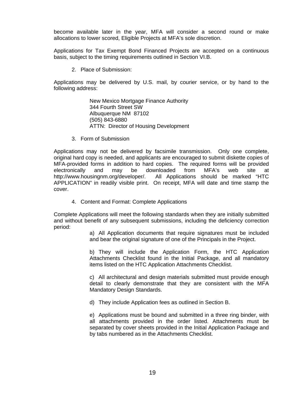become available later in the year, MFA will consider a second round or make allocations to lower scored, Eligible Projects at MFA's sole discretion.

Applications for Tax Exempt Bond Financed Projects are accepted on a continuous basis, subject to the timing requirements outlined in Section VI.B.

2. Place of Submission:

Applications may be delivered by U.S. mail, by courier service, or by hand to the following address:

> New Mexico Mortgage Finance Authority 344 Fourth Street SW Albuquerque NM 87102 (505) 843-6880 ATTN: Director of Housing Development

3. Form of Submission

Applications may not be delivered by facsimile transmission. Only one complete, original hard copy is needed, and applicants are encouraged to submit diskette copies of MFA-provided forms in addition to hard copies. The required forms will be provided electronically and may be downloaded from MFA's web site at http://www.housingnm.org/developer/. All Applications should be marked "HTC APPLICATION" in readily visible print. On receipt, MFA will date and time stamp the cover.

4. Content and Format: Complete Applications

Complete Applications will meet the following standards when they are initially submitted and without benefit of any subsequent submissions, including the deficiency correction period:

> a) All Application documents that require signatures must be included and bear the original signature of one of the Principals in the Project.

> b) They will include the Application Form, the HTC Application Attachments Checklist found in the Initial Package, and all mandatory items listed on the HTC Application Attachments Checklist.

> c) All architectural and design materials submitted must provide enough detail to clearly demonstrate that they are consistent with the MFA Mandatory Design Standards.

d) They include Application fees as outlined in Section B.

e) Applications must be bound and submitted in a three ring binder, with all attachments provided in the order listed. Attachments must be separated by cover sheets provided in the Initial Application Package and by tabs numbered as in the Attachments Checklist.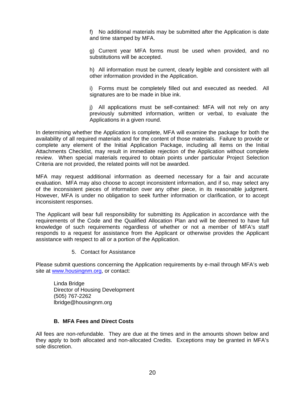f) No additional materials may be submitted after the Application is date and time stamped by MFA.

g) Current year MFA forms must be used when provided, and no substitutions will be accepted.

h) All information must be current, clearly legible and consistent with all other information provided in the Application.

i) Forms must be completely filled out and executed as needed. All signatures are to be made in blue ink.

i) All applications must be self-contained: MFA will not rely on any previously submitted information, written or verbal, to evaluate the Applications in a given round.

In determining whether the Application is complete, MFA will examine the package for both the availability of all required materials and for the content of those materials. Failure to provide or complete any element of the Initial Application Package, including all items on the Initial Attachments Checklist, may result in immediate rejection of the Application without complete review. When special materials required to obtain points under particular Project Selection Criteria are not provided, the related points will not be awarded.

MFA may request additional information as deemed necessary for a fair and accurate evaluation. MFA may also choose to accept inconsistent information, and if so, may select any of the inconsistent pieces of information over any other piece, in its reasonable judgment. However, MFA is under no obligation to seek further information or clarification, or to accept inconsistent responses.

The Applicant will bear full responsibility for submitting its Application in accordance with the requirements of the Code and the Qualified Allocation Plan and will be deemed to have full knowledge of such requirements regardless of whether or not a member of MFA's staff responds to a request for assistance from the Applicant or otherwise provides the Applicant assistance with respect to all or a portion of the Application.

5. Contact for Assistance

Please submit questions concerning the Application requirements by e-mail through MFA's web site at www.housingnm.org, or contact:

Linda Bridge Director of Housing Development (505) 767-2262 lbridge@housingnm.org

## **B. MFA Fees and Direct Costs**

All fees are non-refundable. They are due at the times and in the amounts shown below and they apply to both allocated and non-allocated Credits. Exceptions may be granted in MFA's sole discretion.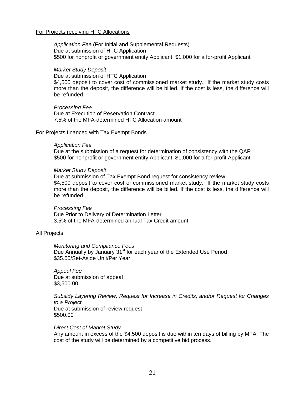#### For Projects receiving HTC Allocations

*Application Fee* (For Initial and Supplemental Requests) Due at submission of HTC Application \$500 for nonprofit or government entity Applicant; \$1,000 for a for-profit Applicant

#### *Market Study Deposit*

Due at submission of HTC Application \$4,500 deposit to cover cost of commissioned market study. If the market study costs more than the deposit, the difference will be billed. If the cost is less, the difference will be refunded.

*Processing Fee* Due at Execution of Reservation Contract 7.5% of the MFA-determined HTC Allocation amount

#### For Projects financed with Tax Exempt Bonds

#### *Application Fee*

Due at the submission of a request for determination of consistency with the QAP \$500 for nonprofit or government entity Applicant; \$1,000 for a for-profit Applicant

#### *Market Study Deposit*

Due at submission of Tax Exempt Bond request for consistency review \$4,500 deposit to cover cost of commissioned market study. If the market study costs more than the deposit, the difference will be billed. If the cost is less, the difference will be refunded.

#### *Processing Fee*

Due Prior to Delivery of Determination Letter 3.5% of the MFA-determined annual Tax Credit amount

#### All Projects

*Monitoring and Compliance Fees*  Due Annually by January 31<sup>st</sup> for each year of the Extended Use Period \$35.00/Set-Aside Unit/Per Year

*Appeal Fee*  Due at submission of appeal \$3,500.00

*Subsidy Layering Review, Request for Increase in Credits, and/or Request for Changes to a Project*  Due at submission of review request \$500.00

#### *Direct Cost of Market Study*

Any amount in excess of the \$4,500 deposit is due within ten days of billing by MFA. The cost of the study will be determined by a competitive bid process.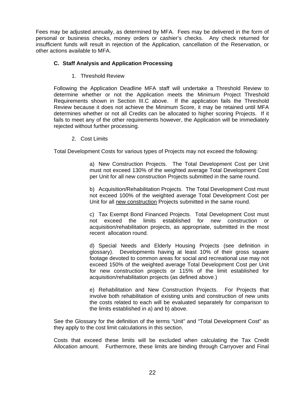Fees may be adjusted annually, as determined by MFA. Fees may be delivered in the form of personal or business checks, money orders or cashier's checks. Any check returned for insufficient funds will result in rejection of the Application, cancellation of the Reservation, or other actions available to MFA.

## **C. Staff Analysis and Application Processing**

1. Threshold Review

Following the Application Deadline MFA staff will undertake a Threshold Review to determine whether or not the Application meets the Minimum Project Threshold Requirements shown in Section III.C above. If the application fails the Threshold Review because it does not achieve the Minimum Score, it may be retained until MFA determines whether or not all Credits can be allocated to higher scoring Projects. If it fails to meet any of the other requirements however, the Application will be immediately rejected without further processing.

2. Cost Limits

Total Development Costs for various types of Projects may not exceed the following:

a) New Construction Projects. The Total Development Cost per Unit must not exceed 130% of the weighted average Total Development Cost per Unit for all new construction Projects submitted in the same round.

b) Acquisition/Rehabilitation Projects. The Total Development Cost must not exceed 100% of the weighted average Total Development Cost per Unit for all new construction Projects submitted in the same round.

c) Tax Exempt Bond Financed Projects. Total Development Cost must not exceed the limits established for new construction or acquisition/rehabilitation projects, as appropriate, submitted in the most recent allocation round.

d) Special Needs and Elderly Housing Projects (see definition in glossary). Developments having at least 10% of their gross square footage devoted to common areas for social and recreational use may not exceed 150% of the weighted average Total Development Cost per Unit for new construction projects or 115% of the limit established for acquisition/rehabilitation projects (as defined above.)

e) Rehabilitation and New Construction Projects. For Projects that involve both rehabilitation of existing units and construction of new units the costs related to each will be evaluated separately for comparison to the limits established in a) and b) above.

See the Glossary for the definition of the terms "Unit" and "Total Development Cost" as they apply to the cost limit calculations in this section.

Costs that exceed these limits will be excluded when calculating the Tax Credit Allocation amount. Furthermore, these limits are binding through Carryover and Final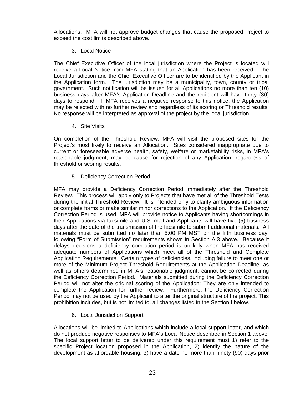Allocations. MFA will not approve budget changes that cause the proposed Project to exceed the cost limits described above.

## 3. Local Notice

The Chief Executive Officer of the local jurisdiction where the Project is located will receive a Local Notice from MFA stating that an Application has been received. The Local Jurisdiction and the Chief Executive Officer are to be identified by the Applicant in the Application form. The jurisdiction may be a municipality, town, county or tribal government. Such notification will be issued for all Applications no more than ten (10) business days after MFA's Application Deadline and the recipient will have thirty (30) days to respond. If MFA receives a negative response to this notice, the Application may be rejected with no further review and regardless of its scoring or Threshold results. No response will be interpreted as approval of the project by the local jurisdiction.

4. Site Visits

On completion of the Threshold Review, MFA will visit the proposed sites for the Project's most likely to receive an Allocation. Sites considered inappropriate due to current or foreseeable adverse health, safety, welfare or marketability risks, in MFA's reasonable judgment, may be cause for rejection of any Application, regardless of threshold or scoring results.

5. Deficiency Correction Period

MFA may provide a Deficiency Correction Period immediately after the Threshold Review. This process will apply only to Projects that have met all of the Threshold Tests during the initial Threshold Review. It is intended only to clarify ambiguous information or complete forms or make similar minor corrections to the Application. If the Deficiency Correction Period is used, MFA will provide notice to Applicants having shortcomings in their Applications via facsimile and U.S. mail and Applicants will have five (5) business days after the date of the transmission of the facsimile to submit additional materials. All materials must be submitted no later than 5:00 PM MST on the fifth business day, following "Form of Submission" requirements shown in Section A.3 above. Because it delays decisions a deficiency correction period is unlikely when MFA has received adequate numbers of Applications which meet all of the Threshold and Complete Application Requirements. Certain types of deficiencies, including failure to meet one or more of the Minimum Project Threshold Requirements at the Application Deadline, as well as others determined in MFA's reasonable judgment, cannot be corrected during the Deficiency Correction Period. Materials submitted during the Deficiency Correction Period will not alter the original scoring of the Application: They are only intended to complete the Application for further review. Furthermore, the Deficiency Correction Period may not be used by the Applicant to alter the original structure of the project. This prohibition includes, but is not limited to, all changes listed in the Section I below.

6. Local Jurisdiction Support

Allocations will be limited to Applications which include a local support letter, and which do not produce negative responses to MFA's Local Notice described in Section 1 above. The local support letter to be delivered under this requirement must 1) refer to the specific Project location proposed in the Application, 2) identify the nature of the development as affordable housing, 3) have a date no more than ninety (90) days prior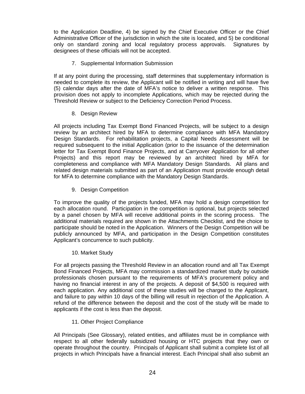to the Application Deadline, 4) be signed by the Chief Executive Officer or the Chief Administrative Officer of the jurisdiction in which the site is located, and 5) be conditional only on standard zoning and local regulatory process approvals. Signatures by designees of these officials will not be accepted.

7. Supplemental Information Submission

If at any point during the processing, staff determines that supplementary information is needed to complete its review, the Applicant will be notified in writing and will have five (5) calendar days after the date of MFA's notice to deliver a written response. This provision does not apply to incomplete Applications, which may be rejected during the Threshold Review or subject to the Deficiency Correction Period Process.

8. Design Review

All projects including Tax Exempt Bond Financed Projects, will be subject to a design review by an architect hired by MFA to determine compliance with MFA Mandatory Design Standards. For rehabilitation projects, a Capital Needs Assessment will be required subsequent to the initial Application (prior to the issuance of the determination letter for Tax Exempt Bond Finance Projects, and at Carryover Application for all other Projects) and this report may be reviewed by an architect hired by MFA for completeness and compliance with MFA Mandatory Design Standards. All plans and related design materials submitted as part of an Application must provide enough detail for MFA to determine compliance with the Mandatory Design Standards.

9. Design Competition

To improve the quality of the projects funded, MFA may hold a design competition for each allocation round. Participation in the competition is optional, but projects selected by a panel chosen by MFA will receive additional points in the scoring process. The additional materials required are shown in the Attachments Checklist, and the choice to participate should be noted in the Application. Winners of the Design Competition will be publicly announced by MFA, and participation in the Design Competition constitutes Applicant's concurrence to such publicity.

10. Market Study

For all projects passing the Threshold Review in an allocation round and all Tax Exempt Bond Financed Projects, MFA may commission a standardized market study by outside professionals chosen pursuant to the requirements of MFA's procurement policy and having no financial interest in any of the projects. A deposit of \$4,500 is required with each application. Any additional cost of these studies will be charged to the Applicant, and failure to pay within 10 days of the billing will result in rejection of the Application. A refund of the difference between the deposit and the cost of the study will be made to applicants if the cost is less than the deposit.

11. Other Project Compliance

All Principals (See Glossary), related entities, and affiliates must be in compliance with respect to all other federally subsidized housing or HTC projects that they own or operate throughout the country. Principals of Applicant shall submit a complete list of all projects in which Principals have a financial interest. Each Principal shall also submit an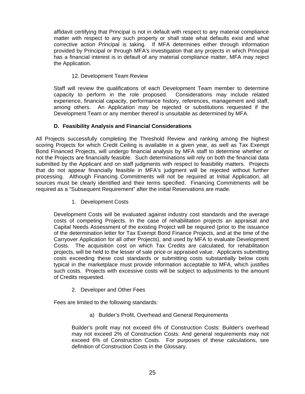affidavit certifying that Principal is not in default with respect to any material compliance matter with respect to any such property or shall state what defaults exist and what corrective action Principal is taking. If MFA determines either through information provided by Principal or through MFA's investigation that any projects in which Principal has a financial interest is in default of any material compliance matter, MFA may reject the Application.

# 12. Development Team Review

Staff will review the qualifications of each Development Team member to determine capacity to perform in the role proposed. Considerations may include related experience, financial capacity, performance history, references, management and staff, among others. An Application may be rejected or substitutions requested if the Development Team or any member thereof is unsuitable as determined by MFA.

# **D. Feasibility Analysis and Financial Considerations**

All Projects successfully completing the Threshold Review and ranking among the highest scoring Projects for which Credit Ceiling is available in a given year, as well as Tax Exempt Bond Financed Projects, will undergo financial analysis by MFA staff to determine whether or not the Projects are financially feasible. Such determinations will rely on both the financial data submitted by the Applicant and on staff judgments with respect to feasibility matters. Projects that do not appear financially feasible in MFA's judgment will be rejected without further processing. Although Financing Commitments will not be required at Initial Application, all sources must be clearly identified and their terms specified. Financing Commitments will be required as a "Subsequent Requirement" after the initial Reservations are made.

1. Development Costs

Development Costs will be evaluated against industry cost standards and the average costs of competing Projects. In the case of rehabilitation projects an appraisal and Capital Needs Assessment of the existing Project will be required (prior to the issuance of the determination letter for Tax Exempt Bond Finance Projects, and at the time of the Carryover Application for all other Projects), and used by MFA to evaluate Development Costs. The acquisition cost on which Tax Credits are calculated, for rehabilitation projects, will be held to the lesser of sale price or appraised value. Applicants submitting costs exceeding these cost standards or submitting costs substantially below costs typical in the marketplace must provide information acceptable to MFA, which justifies such costs. Projects with excessive costs will be subject to adjustments to the amount of Credits requested.

2. Developer and Other Fees

Fees are limited to the following standards:

a) Builder's Profit, Overhead and General Requirements

Builder's profit may not exceed 6% of Construction Costs: Builder's overhead may not exceed 2% of Construction Costs: And general requirements may not exceed 6% of Construction Costs. For purposes of these calculations, see definition of Construction Costs in the Glossary.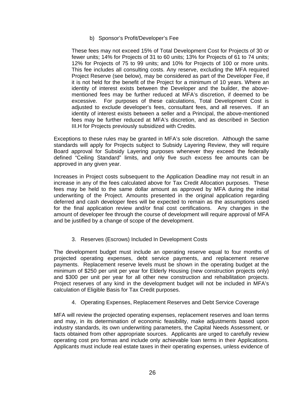## b) Sponsor's Profit/Developer's Fee

These fees may not exceed 15% of Total Development Cost for Projects of 30 or fewer units; 14% for Projects of 31 to 60 units; 13% for Projects of 61 to 74 units; 12% for Projects of 75 to 99 units; and 10% for Projects of 100 or more units. This fee includes all consulting costs. Any reserve, excluding the MFA required Project Reserve (see below), may be considered as part of the Developer Fee, if it is not held for the benefit of the Project for a minimum of 10 years. Where an identity of interest exists between the Developer and the builder, the abovementioned fees may be further reduced at MFA's discretion, if deemed to be excessive. For purposes of these calculations, Total Development Cost is adjusted to exclude developer's fees, consultant fees, and all reserves. If an identity of interest exists between a seller and a Principal, the above-mentioned fees may be further reduced at MFA's discretion, and as described in Section III.H for Projects previously subsidized with Credits.

Exceptions to these rules may be granted in MFA's sole discretion. Although the same standards will apply for Projects subject to Subsidy Layering Review, they will require Board approval for Subsidy Layering purposes whenever they exceed the federally defined "Ceiling Standard" limits, and only five such excess fee amounts can be approved in any given year.

Increases in Project costs subsequent to the Application Deadline may not result in an increase in any of the fees calculated above for Tax Credit Allocation purposes. These fees may be held to the same dollar amount as approved by MFA during the initial underwriting of the Project. Amounts presented in the original application regarding deferred and cash developer fees will be expected to remain as the assumptions used for the final application review and/or final cost certifications. Any changes in the amount of developer fee through the course of development will require approval of MFA and be justified by a change of scope of the development.

# 3. Reserves (Escrows) Included In Development Costs

The development budget must include an operating reserve equal to four months of projected operating expenses, debt service payments, and replacement reserve payments. Replacement reserve levels must be shown in the operating budget at the minimum of \$250 per unit per year for Elderly Housing (new construction projects only) and \$300 per unit per year for all other new construction and rehabilitation projects. Project reserves of any kind in the development budget will not be included in MFA's calculation of Eligible Basis for Tax Credit purposes.

# 4. Operating Expenses, Replacement Reserves and Debt Service Coverage

MFA will review the projected operating expenses, replacement reserves and loan terms and may, in its determination of economic feasibility, make adjustments based upon industry standards, its own underwriting parameters, the Capital Needs Assessment, or facts obtained from other appropriate sources. Applicants are urged to carefully review operating cost pro formas and include only achievable loan terms in their Applications. Applicants must include real estate taxes in their operating expenses, unless evidence of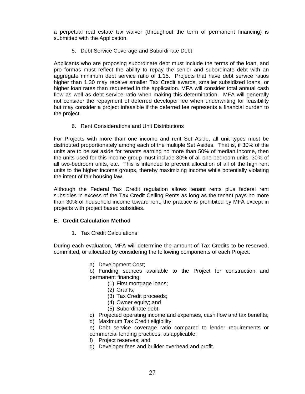a perpetual real estate tax waiver (throughout the term of permanent financing) is submitted with the Application.

5. Debt Service Coverage and Subordinate Debt

Applicants who are proposing subordinate debt must include the terms of the loan, and pro formas must reflect the ability to repay the senior and subordinate debt with an aggregate minimum debt service ratio of 1.15. Projects that have debt service ratios higher than 1.30 may receive smaller Tax Credit awards, smaller subsidized loans, or higher loan rates than requested in the application. MFA will consider total annual cash flow as well as debt service ratio when making this determination. MFA will generally not consider the repayment of deferred developer fee when underwriting for feasibility but may consider a project infeasible if the deferred fee represents a financial burden to the project.

6. Rent Considerations and Unit Distributions

For Projects with more than one income and rent Set Aside, all unit types must be distributed proportionately among each of the multiple Set Asides. That is, if 30% of the units are to be set aside for tenants earning no more than 50% of median income, then the units used for this income group must include 30% of all one-bedroom units, 30% of all two-bedroom units, etc. This is intended to prevent allocation of all of the high rent units to the higher income groups, thereby maximizing income while potentially violating the intent of fair housing law.

Although the Federal Tax Credit regulation allows tenant rents plus federal rent subsidies in excess of the Tax Credit Ceiling Rents as long as the tenant pays no more than 30% of household income toward rent, the practice is prohibited by MFA except in projects with project based subsidies.

# **E. Credit Calculation Method**

1. Tax Credit Calculations

During each evaluation, MFA will determine the amount of Tax Credits to be reserved, committed, or allocated by considering the following components of each Project:

- a) Development Cost;
- b) Funding sources available to the Project for construction and permanent financing:
	- (1) First mortgage loans;
	- (2) Grants;
	- (3) Tax Credit proceeds;
	- (4) Owner equity; and
	- (5) Subordinate debt.
- c) Projected operating income and expenses, cash flow and tax benefits;
- d) Maximum Tax Credit eligibility;
- e) Debt service coverage ratio compared to lender requirements or commercial lending practices, as applicable;
- f) Project reserves; and
- g) Developer fees and builder overhead and profit.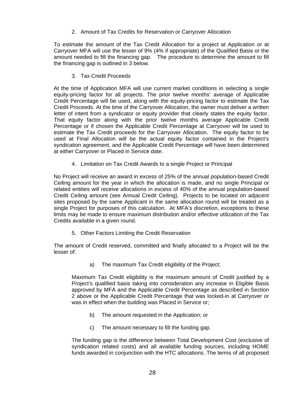2. Amount of Tax Credits for Reservation or Carryover Allocation

To estimate the amount of the Tax Credit Allocation for a project at Application or at Carryover MFA will use the lesser of 9% (4% if appropriate) of the Qualified Basis or the amount needed to fill the financing gap. The procedure to determine the amount to fill the financing gap is outlined in 3 below.

3. Tax Credit Proceeds

At the time of Application MFA will use current market conditions in selecting a single equity-pricing factor for all projects. The prior twelve months' average of Applicable Credit Percentage will be used, along with the equity-pricing factor to estimate the Tax Credit Proceeds. At the time of the Carryover Allocation, the owner must deliver a written letter of intent from a syndicator or equity provider that clearly states the equity factor. That equity factor along with the prior twelve months average Applicable Credit Percentage or if chosen the Applicable Credit Percentage at Carryover will be used to estimate the Tax Credit proceeds for the Carryover Allocation. The equity factor to be used at Final Allocation will be the actual equity factor contained in the Project's syndication agreement, and the Applicable Credit Percentage will have been determined at either Carryover or Placed in Service date.

4. Limitation on Tax Credit Awards to a single Project or Principal

No Project will receive an award in excess of 25% of the annual population-based Credit Ceiling amount for the year in which the allocation is made, and no single Principal or related entities will receive allocations in excess of 40% of the annual population-based Credit Ceiling amount (see Annual Credit Ceiling). Projects to be located on adjacent sites proposed by the same Applicant in the same allocation round will be treated as a single Project for purposes of this calculation. At MFA's discretion, exceptions to these limits may be made to ensure maximum distribution and/or effective utilization of the Tax Credits available in a given round.

5. Other Factors Limiting the Credit Reservation

The amount of Credit reserved, committed and finally allocated to a Project will be the lesser of:

a) The maximum Tax Credit eligibility of the Project;

Maximum Tax Credit eligibility is the maximum amount of Credit justified by a Project's qualified basis taking into consideration any increase in Eligible Basis approved by MFA and the Applicable Credit Percentage as described in Section 2 above or the Applicable Credit Percentage that was locked-in at Carryover or was in effect when the building was Placed in Service or;

- b) The amount requested in the Application; or
- c) The amount necessary to fill the funding gap.

The funding gap is the difference between Total Development Cost (exclusive of syndication related costs) and all available funding sources, including HOME funds awarded in conjunction with the HTC allocations. The terms of all proposed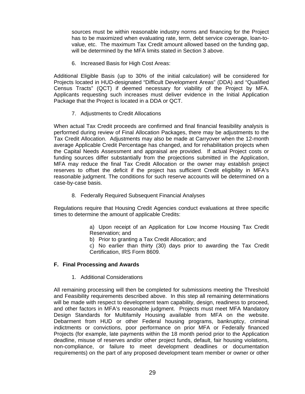sources must be within reasonable industry norms and financing for the Project has to be maximized when evaluating rate, term, debt service coverage, loan-tovalue, etc. The maximum Tax Credit amount allowed based on the funding gap, will be determined by the MFA limits stated in Section 3 above.

6. Increased Basis for High Cost Areas:

Additional Eligible Basis (up to 30% of the initial calculation) will be considered for Projects located in HUD-designated "Difficult Development Areas" (DDA) and "Qualified Census Tracts" (QCT) if deemed necessary for viability of the Project by MFA. Applicants requesting such increases must deliver evidence in the Initial Application Package that the Project is located in a DDA or QCT.

7. Adjustments to Credit Allocations

When actual Tax Credit proceeds are confirmed and final financial feasibility analysis is performed during review of Final Allocation Packages, there may be adjustments to the Tax Credit Allocation. Adjustments may also be made at Carryover when the 12-month average Applicable Credit Percentage has changed, and for rehabilitation projects when the Capital Needs Assessment and appraisal are provided. If actual Project costs or funding sources differ substantially from the projections submitted in the Application, MFA may reduce the final Tax Credit Allocation or the owner may establish project reserves to offset the deficit if the project has sufficient Credit eligibility in MFA's reasonable judgment. The conditions for such reserve accounts will be determined on a case-by-case basis.

8. Federally Required Subsequent Financial Analyses

Regulations require that Housing Credit Agencies conduct evaluations at three specific times to determine the amount of applicable Credits:

> a) Upon receipt of an Application for Low Income Housing Tax Credit Reservation; and

b) Prior to granting a Tax Credit Allocation; and

c) No earlier than thirty (30) days prior to awarding the Tax Credit Certification, IRS Form 8609.

#### **F. Final Processing and Awards**

1. Additional Considerations

All remaining processing will then be completed for submissions meeting the Threshold and Feasibility requirements described above. In this step all remaining determinations will be made with respect to development team capability, design, readiness to proceed, and other factors in MFA's reasonable judgment. Projects must meet MFA Mandatory Design Standards for Multifamily Housing available from MFA on the website. Debarment from HUD or other Federal housing programs, bankruptcy, criminal indictments or convictions, poor performance on prior MFA or Federally financed Projects (for example, late payments within the 18 month period prior to the Application deadline, misuse of reserves and/or other project funds, default, fair housing violations, non-compliance, or failure to meet development deadlines or documentation requirements) on the part of any proposed development team member or owner or other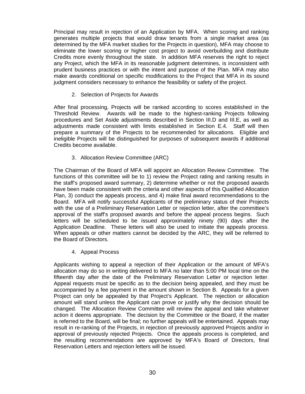Principal may result in rejection of an Application by MFA. When scoring and ranking generates multiple projects that would draw tenants from a single market area (as determined by the MFA market studies for the Projects in question), MFA may choose to eliminate the lower scoring or higher cost project to avoid overbuilding and distribute Credits more evenly throughout the state. In addition MFA reserves the right to reject any Project, which the MFA in its reasonable judgment determines, is inconsistent with prudent business practices or with the intent and purpose of the Plan. MFA may also make awards conditional on specific modifications to the Project that MFA in its sound judgment considers necessary to enhance the feasibility or safety of the project.

2. Selection of Projects for Awards

After final processing, Projects will be ranked according to scores established in the Threshold Review. Awards will be made to the highest-ranking Projects following procedures and Set Aside adjustments described in Section III.D and III.E, as well as adjustments made consistent with limits established in Section E.4. Staff will then prepare a summary of the Projects to be recommended for allocations. Eligible and ineligible Projects will be distinguished for purposes of subsequent awards if additional Credits become available.

3. Allocation Review Committee (ARC)

The Chairman of the Board of MFA will appoint an Allocation Review Committee. The functions of this committee will be to 1) review the Project rating and ranking results in the staff's proposed award summary, 2) determine whether or not the proposed awards have been made consistent with the criteria and other aspects of this Qualified Allocation Plan, 3) conduct the appeals process, and 4) make final award recommendations to the Board. MFA will notify successful Applicants of the preliminary status of their Projects with the use of a Preliminary Reservation Letter or rejection letter, after the committee's approval of the staff's proposed awards and before the appeal process begins. Such letters will be scheduled to be issued approximately ninety (90) days after the Application Deadline. These letters will also be used to initiate the appeals process. When appeals or other matters cannot be decided by the ARC, they will be referred to the Board of Directors.

4. Appeal Process

Applicants wishing to appeal a rejection of their Application or the amount of MFA's allocation may do so in writing delivered to MFA no later than 5:00 PM local time on the fifteenth day after the date of the Preliminary Reservation Letter or rejection letter. Appeal requests must be specific as to the decision being appealed, and they must be accompanied by a fee payment in the amount shown in Section B. Appeals for a given Project can only be appealed by that Project's Applicant. The rejection or allocation amount will stand unless the Applicant can prove or justify why the decision should be changed. The Allocation Review Committee will review the appeal and take whatever action it deems appropriate. The decision by the Committee or the Board, if the matter is referred to the Board, will be final; no further appeals will be entertained. Appeals may result in re-ranking of the Projects, in rejection of previously approved Projects and/or in approval of previously rejected Projects. Once the appeals process is completed, and the resulting recommendations are approved by MFA's Board of Directors, final Reservation Letters and rejection letters will be issued.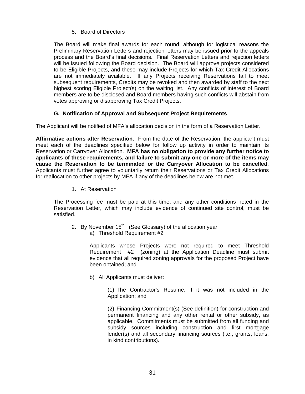5. Board of Directors

The Board will make final awards for each round, although for logistical reasons the Preliminary Reservation Letters and rejection letters may be issued prior to the appeals process and the Board's final decisions. Final Reservation Letters and rejection letters will be issued following the Board decision. The Board will approve projects considered to be Eligible Projects, and these may include Projects for which Tax Credit Allocations are not immediately available. If any Projects receiving Reservations fail to meet subsequent requirements, Credits may be revoked and then awarded by staff to the next highest scoring Eligible Project(s) on the waiting list. Any conflicts of interest of Board members are to be disclosed and Board members having such conflicts will abstain from votes approving or disapproving Tax Credit Projects.

# **G. Notification of Approval and Subsequent Project Requirements**

The Applicant will be notified of MFA's allocation decision in the form of a Reservation Letter.

**Affirmative actions after Reservation.** From the date of the Reservation, the applicant must meet each of the deadlines specified below for follow up activity in order to maintain its Reservation or Carryover Allocation. **MFA has no obligation to provide any further notice to applicants of these requirements, and failure to submit any one or more of the items may cause the Reservation to be terminated or the Carryover Allocation to be cancelled**. Applicants must further agree to voluntarily return their Reservations or Tax Credit Allocations for reallocation to other projects by MFA if any of the deadlines below are not met.

1. At Reservation

The Processing fee must be paid at this time, and any other conditions noted in the Reservation Letter, which may include evidence of continued site control, must be satisfied.

- 2. By November  $15<sup>th</sup>$  (See Glossary) of the allocation year
	- a) Threshold Requirement #2

Applicants whose Projects were not required to meet Threshold Requirement #2 (zoning) at the Application Deadline must submit evidence that all required zoning approvals for the proposed Project have been obtained; and

b) All Applicants must deliver:

(1) The Contractor's Resume, if it was not included in the Application; and

(2) Financing Commitment(s) (See definition) for construction and permanent financing and any other rental or other subsidy, as applicable. Commitments must be submitted from all funding and subsidy sources including construction and first mortgage lender(s) and all secondary financing sources (i.e., grants, loans, in kind contributions).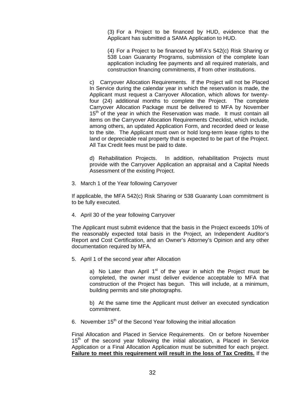(3) For a Project to be financed by HUD, evidence that the Applicant has submitted a SAMA Application to HUD.

(4) For a Project to be financed by MFA's 542(c) Risk Sharing or 538 Loan Guaranty Programs, submission of the complete loan application including fee payments and all required materials, and construction financing commitments, if from other institutions.

c) Carryover Allocation Requirements. If the Project will not be Placed In Service during the calendar year in which the reservation is made, the Applicant must request a Carryover Allocation, which allows for twentyfour (24) additional months to complete the Project. The complete Carryover Allocation Package must be delivered to MFA by November 15<sup>th</sup> of the year in which the Reservation was made. It must contain all items on the Carryover Allocation Requirements Checklist, which include, among others, an updated Application Form, and recorded deed or lease to the site. The Applicant must own or hold long-term lease rights to the land or depreciable real property that is expected to be part of the Project. All Tax Credit fees must be paid to date.

d) Rehabilitation Projects. In addition, rehabilitation Projects must provide with the Carryover Application an appraisal and a Capital Needs Assessment of the existing Project.

3. March 1 of the Year following Carryover

If applicable, the MFA 542(c) Risk Sharing or 538 Guaranty Loan commitment is to be fully executed.

4. April 30 of the year following Carryover

The Applicant must submit evidence that the basis in the Project exceeds 10% of the reasonably expected total basis in the Project, an Independent Auditor's Report and Cost Certification, and an Owner's Attorney's Opinion and any other documentation required by MFA.

5. April 1 of the second year after Allocation

a) No Later than April  $1<sup>st</sup>$  of the year in which the Project must be completed, the owner must deliver evidence acceptable to MFA that construction of the Project has begun. This will include, at a minimum, building permits and site photographs.

b) At the same time the Applicant must deliver an executed syndication commitment.

6. November  $15<sup>th</sup>$  of the Second Year following the initial allocation

Final Allocation and Placed in Service Requirements. On or before November 15<sup>th</sup> of the second year following the initial allocation, a Placed in Service Application or a Final Allocation Application must be submitted for each project. **Failure to meet this requirement will result in the loss of Tax Credits.** If the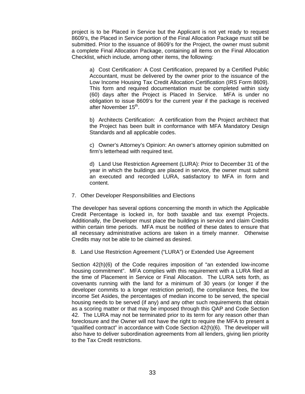project is to be Placed in Service but the Applicant is not yet ready to request 8609's, the Placed in Service portion of the Final Allocation Package must still be submitted. Prior to the issuance of 8609's for the Project, the owner must submit a complete Final Allocation Package, containing all items on the Final Allocation Checklist, which include, among other items, the following:

a) Cost Certification: A Cost Certification, prepared by a Certified Public Accountant, must be delivered by the owner prior to the issuance of the Low Income Housing Tax Credit Allocation Certification (IRS Form 8609). This form and required documentation must be completed within sixty (60) days after the Project is Placed In Service. MFA is under no obligation to issue 8609's for the current year if the package is received after November 15<sup>th</sup>.

b) Architects Certification: A certification from the Project architect that the Project has been built in conformance with MFA Mandatory Design Standards and all applicable codes.

c) Owner's Attorney's Opinion: An owner's attorney opinion submitted on firm's letterhead with required text.

d) Land Use Restriction Agreement (LURA): Prior to December 31 of the year in which the buildings are placed in service, the owner must submit an executed and recorded LURA, satisfactory to MFA in form and content.

7. Other Developer Responsibilities and Elections

The developer has several options concerning the month in which the Applicable Credit Percentage is locked in, for both taxable and tax exempt Projects. Additionally, the Developer must place the buildings in service and claim Credits within certain time periods. MFA must be notified of these dates to ensure that all necessary administrative actions are taken in a timely manner. Otherwise Credits may not be able to be claimed as desired.

8. Land Use Restriction Agreement ("LURA") or Extended Use Agreement

Section 42(h)(6) of the Code requires imposition of "an extended low-income housing commitment". MFA complies with this requirement with a LURA filed at the time of Placement in Service or Final Allocation. The LURA sets forth, as covenants running with the land for a minimum of 30 years (or longer if the developer commits to a longer restriction period), the compliance fees, the low income Set Asides, the percentages of median income to be served, the special housing needs to be served (if any) and any other such requirements that obtain as a scoring matter or that may be imposed through this QAP and Code Section 42. The LURA may not be terminated prior to its term for any reason other than foreclosure and the Owner will not have the right to require the MFA to present a "qualified contract" in accordance with Code Section 42(h)(6). The developer will also have to deliver subordination agreements from all lenders, giving lien priority to the Tax Credit restrictions.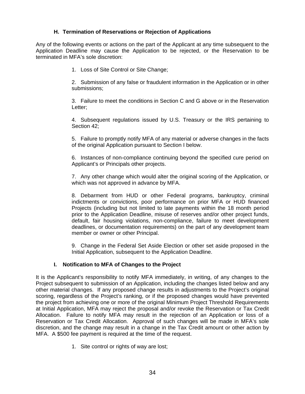# **H. Termination of Reservations or Rejection of Applications**

Any of the following events or actions on the part of the Applicant at any time subsequent to the Application Deadline may cause the Application to be rejected, or the Reservation to be terminated in MFA's sole discretion:

1. Loss of Site Control or Site Change;

2. Submission of any false or fraudulent information in the Application or in other submissions;

3. Failure to meet the conditions in Section C and G above or in the Reservation Letter;

4. Subsequent regulations issued by U.S. Treasury or the IRS pertaining to Section 42;

5. Failure to promptly notify MFA of any material or adverse changes in the facts of the original Application pursuant to Section I below.

6. Instances of non-compliance continuing beyond the specified cure period on Applicant's or Principals other projects.

7. Any other change which would alter the original scoring of the Application, or which was not approved in advance by MFA.

8. Debarment from HUD or other Federal programs, bankruptcy, criminal indictments or convictions, poor performance on prior MFA or HUD financed Projects (including but not limited to late payments within the 18 month period prior to the Application Deadline, misuse of reserves and/or other project funds, default, fair housing violations, non-compliance, failure to meet development deadlines, or documentation requirements) on the part of any development team member or owner or other Principal.

9. Change in the Federal Set Aside Election or other set aside proposed in the Initial Application, subsequent to the Application Deadline.

## **I. Notification to MFA of Changes to the Project**

It is the Applicant's responsibility to notify MFA immediately, in writing, of any changes to the Project subsequent to submission of an Application, including the changes listed below and any other material changes. If any proposed change results in adjustments to the Project's original scoring, regardless of the Project's ranking, or if the proposed changes would have prevented the project from achieving one or more of the original Minimum Project Threshold Requirements at Initial Application, MFA may reject the proposal and/or revoke the Reservation or Tax Credit Allocation. Failure to notify MFA may result in the rejection of an Application or loss of a Reservation or Tax Credit Allocation. Approval of such changes will be made in MFA's sole discretion, and the change may result in a change in the Tax Credit amount or other action by MFA. A \$500 fee payment is required at the time of the request.

1. Site control or rights of way are lost;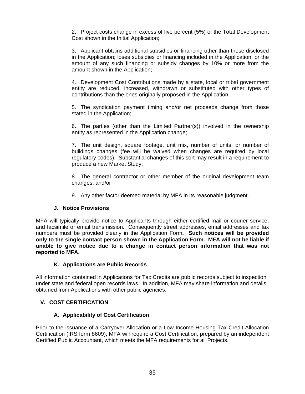2. Project costs change in excess of five percent (5%) of the Total Development Cost shown in the Initial Application;

3. Applicant obtains additional subsidies or financing other than those disclosed in the Application; loses subsidies or financing included in the Application; or the amount of any such financing or subsidy changes by 10% or more from the amount shown in the Application;

4. Development Cost Contributions made by a state, local or tribal government entity are reduced, increased, withdrawn or substituted with other types of contributions than the ones originally proposed in the Application;

5. The syndication payment timing and/or net proceeds change from those stated in the Application;

6. The parties (other than the Limited Partner(s)) involved in the ownership entity as represented in the Application change;

7. The unit design, square footage, unit mix, number of units, or number of buildings changes (fee will be waived when changes are required by local regulatory codes). Substantial changes of this sort may result in a requirement to produce a new Market Study;

8. The general contractor or other member of the original development team changes; and/or

9. Any other factor deemed material by MFA in its reasonable judgment.

## **J. Notice Provisions**

MFA will typically provide notice to Applicants through either certified mail or courier service, and facsimile or email transmission. Consequently street addresses, email addresses and fax numbers must be provided clearly in the Application Form**. Such notices will be provided only to the single contact person shown in the Application Form. MFA will not be liable if unable to give notice due to a change in contact person information that was not reported to MFA.** 

## **K. Applications are Public Records**

All information contained in Applications for Tax Credits are public records subject to inspection under state and federal open records laws. In addition, MFA may share information and details obtained from Applications with other public agencies.

## **V. COST CERTIFICATION**

## **A. Applicability of Cost Certification**

Prior to the issuance of a Carryover Allocation or a Low Income Housing Tax Credit Allocation Certification (IRS form 8609), MFA will require a Cost Certification, prepared by an independent Certified Public Accountant, which meets the MFA requirements for all Projects.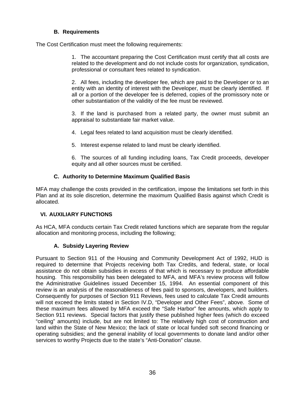# **B. Requirements**

The Cost Certification must meet the following requirements:

1. The accountant preparing the Cost Certification must certify that all costs are related to the development and do not include costs for organization, syndication, professional or consultant fees related to syndication.

2. All fees, including the developer fee, which are paid to the Developer or to an entity with an identity of interest with the Developer, must be clearly identified. If all or a portion of the developer fee is deferred, copies of the promissory note or other substantiation of the validity of the fee must be reviewed.

3. If the land is purchased from a related party, the owner must submit an appraisal to substantiate fair market value.

4. Legal fees related to land acquisition must be clearly identified.

5. Interest expense related to land must be clearly identified.

6. The sources of all funding including loans, Tax Credit proceeds, developer equity and all other sources must be certified.

# **C. Authority to Determine Maximum Qualified Basis**

MFA may challenge the costs provided in the certification, impose the limitations set forth in this Plan and at its sole discretion, determine the maximum Qualified Basis against which Credit is allocated.

# **VI. AUXILIARY FUNCTIONS**

As HCA, MFA conducts certain Tax Credit related functions which are separate from the regular allocation and monitoring process, including the following;

# **A. Subsidy Layering Review**

Pursuant to Section 911 of the Housing and Community Development Act of 1992, HUD is required to determine that Projects receiving both Tax Credits, and federal, state, or local assistance do not obtain subsidies in excess of that which is necessary to produce affordable housing. This responsibility has been delegated to MFA, and MFA's review process will follow the Administrative Guidelines issued December 15, 1994. An essential component of this review is an analysis of the reasonableness of fees paid to sponsors, developers, and builders. Consequently for purposes of Section 911 Reviews, fees used to calculate Tax Credit amounts will not exceed the limits stated in Section IV.D, "Developer and Other Fees", above. Some of these maximum fees allowed by MFA exceed the "Safe Harbor" fee amounts, which apply to Section 911 reviews. Special factors that justify these published higher fees (which do exceed "ceiling" amounts) include, but are not limited to: The relatively high cost of construction and land within the State of New Mexico; the lack of state or local funded soft second financing or operating subsidies; and the general inability of local governments to donate land and/or other services to worthy Projects due to the state's "Anti-Donation" clause.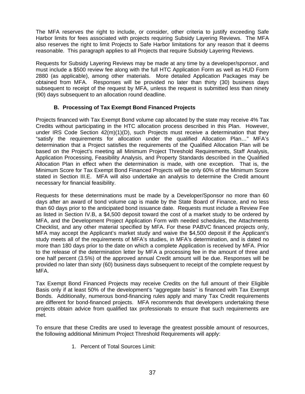The MFA reserves the right to include, or consider, other criteria to justify exceeding Safe Harbor limits for fees associated with projects requiring Subsidy Layering Reviews. The MFA also reserves the right to limit Projects to Safe Harbor limitations for any reason that it deems reasonable. This paragraph applies to all Projects that require Subsidy Layering Reviews.

Requests for Subsidy Layering Reviews may be made at any time by a developer/sponsor, and must include a \$500 review fee along with the full HTC Application Form as well as HUD Form 2880 (as applicable), among other materials. More detailed Application Packages may be obtained from MFA. Responses will be provided no later than thirty (30) business days subsequent to receipt of the request by MFA, unless the request is submitted less than ninety (90) days subsequent to an allocation round deadline.

# **B. Processing of Tax Exempt Bond Financed Projects**

Projects financed with Tax Exempt Bond volume cap allocated by the state may receive 4% Tax Credits without participating in the HTC allocation process described in this Plan. However, under IRS Code Section  $42(m)(1)(D)$ , such Projects must receive a determination that they "satisfy the requirements for allocation under the qualified Allocation Plan…" MFA's determination that a Project satisfies the requirements of the Qualified Allocation Plan will be based on the Project's meeting all Minimum Project Threshold Requirements, Staff Analysis, Application Processing, Feasibility Analysis, and Property Standards described in the Qualified Allocation Plan in effect when the determination is made, with one exception. That is, the Minimum Score for Tax Exempt Bond Financed Projects will be only 60% of the Minimum Score stated in Section III.E. MFA will also undertake an analysis to determine the Credit amount necessary for financial feasibility.

Requests for these determinations must be made by a Developer/Sponsor no more than 60 days after an award of bond volume cap is made by the State Board of Finance, and no less than 60 days prior to the anticipated bond issuance date. Requests must include a Review Fee as listed in Section IV.B, a \$4,500 deposit toward the cost of a market study to be ordered by MFA, and the Development Project Application Form with needed schedules, the Attachments Checklist, and any other material specified by MFA. For these PABVC financed projects only, MFA may accept the Applicant's market study and waive the \$4,500 deposit if the Applicant's study meets all of the requirements of MFA's studies, in MFA's determination, and is dated no more than 180 days prior to the date on which a complete Application is received by MFA. Prior to the release of the determination letter by MFA a processing fee in the amount of three and one half percent (3.5%) of the approved annual Credit amount will be due. Responses will be provided no later than sixty (60) business days subsequent to receipt of the complete request by MFA.

Tax Exempt Bond Financed Projects may receive Credits on the full amount of their Eligible Basis only if at least 50% of the development's "aggregate basis" is financed with Tax Exempt Bonds. Additionally, numerous bond-financing rules apply and many Tax Credit requirements are different for bond-financed projects. MFA recommends that developers undertaking these projects obtain advice from qualified tax professionals to ensure that such requirements are met.

To ensure that these Credits are used to leverage the greatest possible amount of resources, the following additional Minimum Project Threshold Requirements will apply:

1. Percent of Total Sources Limit: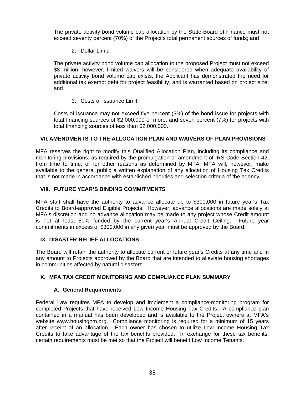The private activity bond volume cap allocation by the State Board of Finance must not exceed seventy percent (70%) of the Project's total permanent sources of funds; and

2. Dollar Limit:

The private activity bond volume cap allocation to the proposed Project must not exceed \$8 million; however, limited waivers will be considered when adequate availability of private activity bond volume cap exists, the Applicant has demonstrated the need for additional tax exempt debt for project feasibility, and is warranted based on project size; and

3. Costs of Issuance Limit:

Costs of issuance may not exceed five percent (5%) of the bond issue for projects with total financing sources of \$2,000,000 or more, and seven percent (7%) for projects with total financing sources of less than \$2,000,000.

## **VII. AMENDMENTS TO THE ALLOCATION PLAN AND WAIVERS OF PLAN PROVISIONS**

MFA reserves the right to modify this Qualified Allocation Plan, including its compliance and monitoring provisions, as required by the promulgation or amendment of IRS Code Section 42, from time to time, or for other reasons as determined by MFA. MFA will, however, make available to the general public a written explanation of any allocation of Housing Tax Credits that is not made in accordance with established priorities and selection criteria of the agency.

## **VIII. FUTURE YEAR'S BINDING COMMITMENTS**

MFA staff shall have the authority to advance allocate up to \$300,000 in future year's Tax Credits to Board-approved Eligible Projects. However, advance allocations are made solely at MFA's discretion and no advance allocation may be made to any project whose Credit amount is not at least 50% funded by the current year's Annual Credit Ceiling. Future year commitments in excess of \$300,000 in any given year must be approved by the Board.

## **IX. DISASTER RELIEF ALLOCATIONS**

The Board will retain the authority to allocate current or future year's Credits at any time and in any amount to Projects approved by the Board that are intended to alleviate housing shortages in communities affected by natural disasters.

# **X. MFA TAX CREDIT MONITORING AND COMPLIANCE PLAN SUMMARY**

## **A. General Requirements**

Federal Law requires MFA to develop and implement a compliance-monitoring program for completed Projects that have received Low Income Housing Tax Credits. A compliance plan contained in a manual has been developed and is available to the Project owners at MFA's website www.housingnm.org. Compliance monitoring is required for a minimum of 15 years after receipt of an allocation. Each owner has chosen to utilize Low Income Housing Tax Credits to take advantage of the tax benefits provided. In exchange for these tax benefits, certain requirements must be met so that the Project will benefit Low Income Tenants.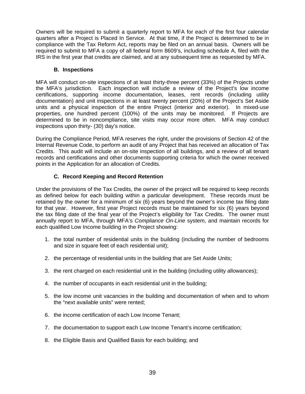Owners will be required to submit a quarterly report to MFA for each of the first four calendar quarters after a Project is Placed In Service. At that time, if the Project is determined to be in compliance with the Tax Reform Act, reports may be filed on an annual basis. Owners will be required to submit to MFA a copy of all federal form 8609's, including schedule A, filed with the IRS in the first year that credits are claimed, and at any subsequent time as requested by MFA.

## **B. Inspections**

MFA will conduct on-site inspections of at least thirty-three percent (33%) of the Projects under the MFA's jurisdiction. Each inspection will include a review of the Project's low income certifications, supporting income documentation, leases, rent records (including utility documentation) and unit inspections in at least twenty percent (20%) of the Project's Set Aside units and a physical inspection of the entire Project (interior and exterior). In mixed-use properties, one hundred percent (100%) of the units may be monitored. If Projects are determined to be in noncompliance, site visits may occur more often. MFA may conduct inspections upon thirty- (30) day's notice.

During the Compliance Period, MFA reserves the right, under the provisions of Section 42 of the Internal Revenue Code, to perform an audit of any Project that has received an allocation of Tax Credits. This audit will include an on-site inspection of all buildings, and a review of all tenant records and certifications and other documents supporting criteria for which the owner received points in the Application for an allocation of Credits.

# **C. Record Keeping and Record Retention**

Under the provisions of the Tax Credits, the owner of the project will be required to keep records as defined below for each building within a particular development. These records must be retained by the owner for a minimum of six (6) years beyond the owner's income tax filing date for that year. However, first year Project records must be maintained for six (6) years beyond the tax filing date of the final year of the Project's eligibility for Tax Credits. The owner must annually report to MFA, through MFA's *Compliance On-Line* system, and maintain records for each qualified Low Income building in the Project showing:

- 1. the total number of residential units in the building (including the number of bedrooms and size in square feet of each residential unit);
- 2. the percentage of residential units in the building that are Set Aside Units;
- 3. the rent charged on each residential unit in the building (including utility allowances);
- 4. the number of occupants in each residential unit in the building;
- 5. the low income unit vacancies in the building and documentation of when and to whom the "next available units" were rented;
- 6. the income certification of each Low Income Tenant;
- 7. the documentation to support each Low Income Tenant's income certification;
- 8. the Eligible Basis and Qualified Basis for each building; and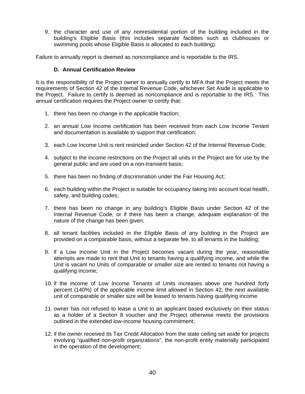9. the character and use of any nonresidential portion of the building included in the building's Eligible Basis (this includes separate facilities such as clubhouses or swimming pools whose Eligible Basis is allocated to each building).

Failure to annually report is deemed as noncompliance and is reportable to the IRS.

## **D. Annual Certification Review**

It is the responsibility of the Project owner to annually certify to MFA that the Project meets the requirements of Section 42 of the Internal Revenue Code, whichever Set Aside is applicable to the Project. Failure to certify is deemed as noncompliance and is reportable to the IRS. This annual certification requires the Project owner to certify that:

- 1. there has been no change in the applicable fraction;
- 2. an annual Low Income certification has been received from each Low Income Tenant and documentation is available to support that certification;
- 3. each Low Income Unit is rent restricted under Section 42 of the Internal Revenue Code;
- 4. subject to the income restrictions on the Project all units in the Project are for use by the general public and are used on a non-transient basis;
- 5. there has been no finding of discrimination under the Fair Housing Act;
- 6. each building within the Project is suitable for occupancy taking into account local health, safety, and building codes;
- 7. there has been no change in any building's Eligible Basis under Section 42 of the Internal Revenue Code, or if there has been a change, adequate explanation of the nature of the change has been given;
- 8. all tenant facilities included in the Eligible Basis of any building in the Project are provided on a comparable basis, without a separate fee, to all tenants in the building;
- 9. if a Low Income Unit in the Project becomes vacant during the year, reasonable attempts are made to rent that Unit to tenants having a qualifying income, and while the Unit is vacant no Units of comparable or smaller size are rented to tenants not having a qualifying income;
- 10. if the income of Low Income Tenants of Units increases above one hundred forty percent (140%) of the applicable income limit allowed in Section 42, the next available unit of comparable or smaller size will be leased to tenants having qualifying income.
- 11. owner has not refused to lease a Unit to an applicant based exclusively on their status as a holder of a Section 8 voucher and the Project otherwise meets the provisions outlined in the extended low-income housing commitment;
- 12. if the owner received its Tax Credit Allocation from the state ceiling set aside for projects involving "qualified non-profit organizations", the non-profit entity materially participated in the operation of the development;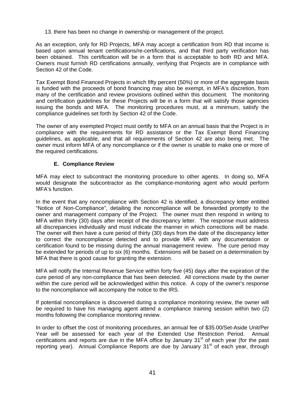13. there has been no change in ownership or management of the project.

As an exception, only for RD Projects, MFA may accept a certification from RD that income is based upon annual tenant certifications/re-certifications, and that third party verification has been obtained. This certification will be in a form that is acceptable to both RD and MFA. Owners must furnish RD certifications annually, verifying that Projects are in compliance with Section 42 of the Code.

Tax Exempt Bond Financed Projects in which fifty percent (50%) or more of the aggregate basis is funded with the proceeds of bond financing may also be exempt, in MFA's discretion, from many of the certification and review provisions outlined within this document. The monitoring and certification guidelines for these Projects will be in a form that will satisfy those agencies issuing the bonds and MFA. The monitoring procedures must, at a minimum, satisfy the compliance guidelines set forth by Section 42 of the Code.

The owner of any exempted Project must certify to MFA on an annual basis that the Project is in compliance with the requirements for RD assistance or the Tax Exempt Bond Financing guidelines, as applicable, and that all requirements of Section 42 are also being met. The owner must inform MFA of any noncompliance or if the owner is unable to make one or more of the required certifications.

# **E. Compliance Review**

MFA may elect to subcontract the monitoring procedure to other agents. In doing so, MFA would designate the subcontractor as the compliance-monitoring agent who would perform MFA's function.

In the event that any noncompliance with Section 42 is identified, a discrepancy letter entitled "Notice of Non-Compliance", detailing the noncompliance will be forwarded promptly to the owner and management company of the Project. The owner must then respond in writing to MFA within thirty (30) days after receipt of the discrepancy letter. The response must address all discrepancies individually and must indicate the manner in which corrections will be made. The owner will then have a cure period of thirty (30) days from the date of the discrepancy letter to correct the noncompliance detected and to provide MFA with any documentation or certification found to be missing during the annual management review. The cure period may be extended for periods of up to six (6) months. Extensions will be based on a determination by MFA that there is good cause for granting the extension.

MFA will notify the Internal Revenue Service within forty five (45) days after the expiration of the cure period of any non-compliance that has been detected. All corrections made by the owner within the cure period will be acknowledged within this notice. A copy of the owner's response to the noncompliance will accompany the notice to the IRS.

If potential noncompliance is discovered during a compliance monitoring review, the owner will be required to have his managing agent attend a compliance training session within two (2) months following the compliance monitoring review.

In order to offset the cost of monitoring procedures, an annual fee of \$35.00/Set-Aside Unit/Per Year will be assessed for each year of the Extended Use Restriction Period. Annual certifications and reports are due in the MFA office by January  $31<sup>st</sup>$  of each year (for the past reporting year). Annual Compliance Reports are due by January 31<sup>st</sup> of each year, through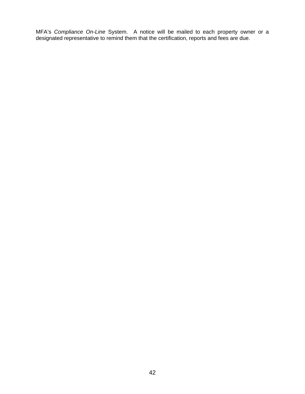MFA's *Compliance On-Line* System. A notice will be mailed to each property owner or a designated representative to remind them that the certification, reports and fees are due.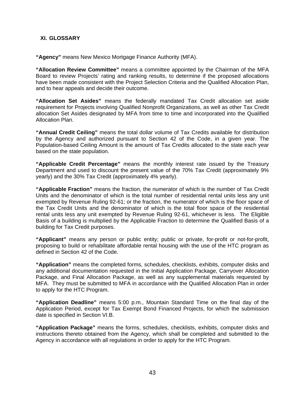## **XI. GLOSSARY**

**"Agency"** means New Mexico Mortgage Finance Authority (MFA).

**"Allocation Review Committee"** means a committee appointed by the Chairman of the MFA Board to review Projects' rating and ranking results, to determine if the proposed allocations have been made consistent with the Project Selection Criteria and the Qualified Allocation Plan, and to hear appeals and decide their outcome.

**"Allocation Set Asides"** means the federally mandated Tax Credit allocation set aside requirement for Projects involving Qualified Nonprofit Organizations, as well as other Tax Credit allocation Set Asides designated by MFA from time to time and incorporated into the Qualified Allocation Plan.

**"Annual Credit Ceiling"** means the total dollar volume of Tax Credits available for distribution by the Agency and authorized pursuant to Section 42 of the Code, in a given year. The Population-based Ceiling Amount is the amount of Tax Credits allocated to the state each year based on the state population.

**"Applicable Credit Percentage"** means the monthly interest rate issued by the Treasury Department and used to discount the present value of the 70% Tax Credit (approximately 9% yearly) and the 30% Tax Credit (approximately 4% yearly).

**"Applicable Fraction"** means the fraction, the numerator of which is the number of Tax Credit Units and the denominator of which is the total number of residential rental units less any unit exempted by Revenue Ruling 92-61; or the fraction, the numerator of which is the floor space of the Tax Credit Units and the denominator of which is the total floor space of the residential rental units less any unit exempted by Revenue Ruling 92-61, whichever is less. The Eligible Basis of a building is multiplied by the Applicable Fraction to determine the Qualified Basis of a building for Tax Credit purposes.

**"Applicant"** means any person or public entity; public or private, for-profit or not-for-profit, proposing to build or rehabilitate affordable rental housing with the use of the HTC program as defined in Section 42 of the Code.

**"Application"** means the completed forms, schedules, checklists, exhibits, computer disks and any additional documentation requested in the Initial Application Package, Carryover Allocation Package, and Final Allocation Package, as well as any supplemental materials requested by MFA. They must be submitted to MFA in accordance with the Qualified Allocation Plan in order to apply for the HTC Program.

**"Application Deadline"** means 5:00 p.m., Mountain Standard Time on the final day of the Application Period, except for Tax Exempt Bond Financed Projects, for which the submission date is specified in Section VI.B.

**"Application Package"** means the forms, schedules, checklists, exhibits, computer disks and instructions thereto obtained from the Agency, which shall be completed and submitted to the Agency in accordance with all regulations in order to apply for the HTC Program.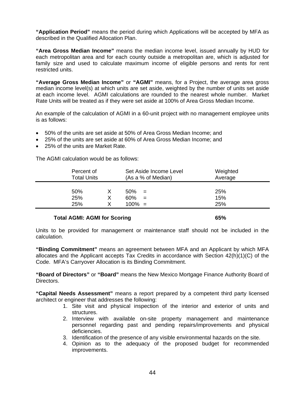**"Application Period"** means the period during which Applications will be accepted by MFA as described in the Qualified Allocation Plan.

**"Area Gross Median Income"** means the median income level, issued annually by HUD for each metropolitan area and for each county outside a metropolitan are, which is adjusted for family size and used to calculate maximum income of eligible persons and rents for rent restricted units.

**"Average Gross Median Income"** or **"AGMI"** means, for a Project, the average area gross median income level(s) at which units are set aside, weighted by the number of units set aside at each income level. AGMI calculations are rounded to the nearest whole number. Market Rate Units will be treated as if they were set aside at 100% of Area Gross Median Income.

An example of the calculation of AGMI in a 60-unit project with no management employee units is as follows:

- 50% of the units are set aside at 50% of Area Gross Median Income; and
- 25% of the units are set aside at 60% of Area Gross Median Income; and
- 25% of the units are Market Rate.

The AGMI calculation would be as follows:

| Percent of<br><b>Total Units</b> |   | Set Aside Income Level<br>(As a % of Median) | Weighted<br>Average |
|----------------------------------|---|----------------------------------------------|---------------------|
| 50%                              | х | 50%<br>$=$                                   | 25%                 |
| 25%                              | X | 60%<br>$=$                                   | 15%                 |
| 25%                              | x | $100\% =$                                    | 25%                 |
|                                  |   |                                              |                     |

#### **Total AGMI: AGMI for Scoring 65%**  65%

Units to be provided for management or maintenance staff should not be included in the calculation.

**"Binding Commitment"** means an agreement between MFA and an Applicant by which MFA allocates and the Applicant accepts Tax Credits in accordance with Section 42(h)(1)(C) of the Code. MFA's Carryover Allocation is its Binding Commitment.

**"Board of Directors"** or **"Board"** means the New Mexico Mortgage Finance Authority Board of Directors.

**"Capital Needs Assessment"** means a report prepared by a competent third party licensed architect or engineer that addresses the following:

- 1. Site visit and physical inspection of the interior and exterior of units and structures.
- 2. Interview with available on-site property management and maintenance personnel regarding past and pending repairs/improvements and physical deficiencies.
- 3. Identification of the presence of any visible environmental hazards on the site.
- 4. Opinion as to the adequacy of the proposed budget for recommended improvements.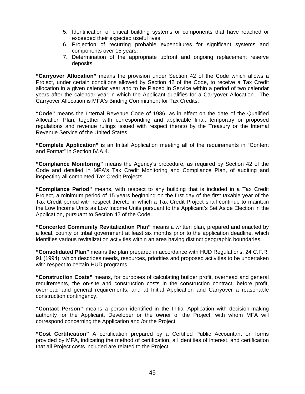- 5. Identification of critical building systems or components that have reached or exceeded their expected useful lives.
- 6. Projection of recurring probable expenditures for significant systems and components over 15 years.
- 7. Determination of the appropriate upfront and ongoing replacement reserve deposits.

**"Carryover Allocation"** means the provision under Section 42 of the Code which allows a Project, under certain conditions allowed by Section 42 of the Code, to receive a Tax Credit allocation in a given calendar year and to be Placed In Service within a period of two calendar years after the calendar year in which the Applicant qualifies for a Carryover Allocation. The Carryover Allocation is MFA's Binding Commitment for Tax Credits.

**"Code"** means the Internal Revenue Code of 1986, as in effect on the date of the Qualified Allocation Plan, together with corresponding and applicable final, temporary or proposed regulations and revenue rulings issued with respect thereto by the Treasury or the Internal Revenue Service of the United States.

**"Complete Application"** is an Initial Application meeting all of the requirements in "Content and Format" in Section IV.A.4.

**"Compliance Monitoring"** means the Agency's procedure, as required by Section 42 of the Code and detailed in MFA's Tax Credit Monitoring and Compliance Plan, of auditing and inspecting all completed Tax Credit Projects.

**"Compliance Period"** means, with respect to any building that is included in a Tax Credit Project, a minimum period of 15 years beginning on the first day of the first taxable year of the Tax Credit period with respect thereto in which a Tax Credit Project shall continue to maintain the Low Income Units as Low Income Units pursuant to the Applicant's Set Aside Election in the Application, pursuant to Section 42 of the Code.

**"Concerted Community Revitalization Plan"** means a written plan, prepared and enacted by a local, county or tribal government at least six months prior to the application deadline, which identifies various revitalization activities within an area having distinct geographic boundaries.

**"Consolidated Plan"** means the plan prepared in accordance with HUD Regulations, 24 C.F.R. 91 (1994), which describes needs, resources, priorities and proposed activities to be undertaken with respect to certain HUD programs.

**"Construction Costs"** means, for purposes of calculating builder profit, overhead and general requirements, the on-site and construction costs in the construction contract, before profit, overhead and general requirements, and at Initial Application and Carryover a reasonable construction contingency.

**"Contact Person"** means a person identified in the Initial Application with decision-making authority for the Applicant, Developer or the owner of the Project, with whom MFA will correspond concerning the Application and /or the Project.

**"Cost Certification"** A certification prepared by a Certified Public Accountant on forms provided by MFA, indicating the method of certification, all identities of interest, and certification that all Project costs included are related to the Project.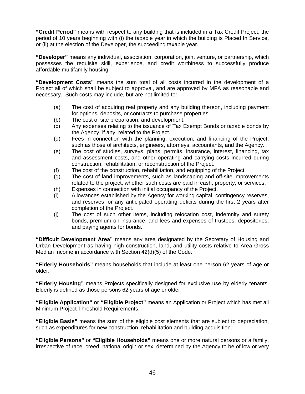**"Credit Period"** means with respect to any building that is included in a Tax Credit Project, the period of 10 years beginning with (i) the taxable year in which the building is Placed In Service, or (ii) at the election of the Developer, the succeeding taxable year.

**"Developer"** means any individual, association, corporation, joint venture, or partnership, which possesses the requisite skill, experience, and credit worthiness to successfully produce affordable multifamily housing.

**"Development Costs"** means the sum total of all costs incurred in the development of a Project all of which shall be subject to approval, and are approved by MFA as reasonable and necessary. Such costs may include, but are not limited to:

- (a) The cost of acquiring real property and any building thereon, including payment for options, deposits, or contracts to purchase properties.
- (b) The cost of site preparation, and development.
- (c) Any expenses relating to the issuance of Tax Exempt Bonds or taxable bonds by the Agency, if any, related to the Project.
- (d) Fees in connection with the planning, execution, and financing of the Project, such as those of architects, engineers, attorneys, accountants, and the Agency.
- (e) The cost of studies, surveys, plans, permits, insurance, interest, financing, tax and assessment costs, and other operating and carrying costs incurred during construction, rehabilitation, or reconstruction of the Project.
- (f) The cost of the construction, rehabilitation, and equipping of the Project.
- (g) The cost of land improvements, such as landscaping and off-site improvements related to the project, whether such costs are paid in cash, property, or services.
- (h) Expenses in connection with initial occupancy of the Project.
- (i) Allowances established by the Agency for working capital, contingency reserves, and reserves for any anticipated operating deficits during the first 2 years after completion of the Project.
- (j) The cost of such other items, including relocation cost, indemnity and surety bonds, premium on insurance, and fees and expenses of trustees, depositories, and paying agents for bonds.

**"Difficult Development Area"** means any area designated by the Secretary of Housing and Urban Development as having high construction, land, and utility costs relative to Area Gross Median Income in accordance with Section 42(d)(5) of the Code.

**"Elderly Households"** means households that include at least one person 62 years of age or older.

**"Elderly Housing"** means Projects specifically designed for exclusive use by elderly tenants. Elderly is defined as those persons 62 years of age or older.

**"Eligible Application" or "Eligible Project"** means an Application or Project which has met all Minimum Project Threshold Requirements.

**"Eligible Basis"** means the sum of the eligible cost elements that are subject to depreciation, such as expenditures for new construction, rehabilitation and building acquisition.

**"Eligible Persons"** or **"Eligible Households"** means one or more natural persons or a family, irrespective of race, creed, national origin or sex, determined by the Agency to be of low or very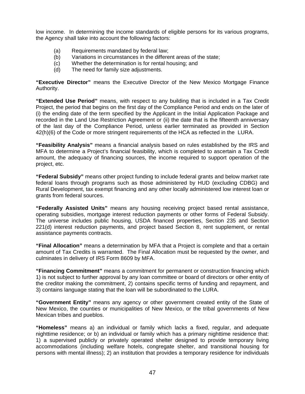low income. In determining the income standards of eligible persons for its various programs, the Agency shall take into account the following factors:

- (a) Requirements mandated by federal law;
- (b) Variations in circumstances in the different areas of the state;
- (c) Whether the determination is for rental housing; and
- (d) The need for family size adjustments.

**"Executive Director"** means the Executive Director of the New Mexico Mortgage Finance Authority.

**"Extended Use Period"** means, with respect to any building that is included in a Tax Credit Project, the period that begins on the first day of the Compliance Period and ends on the later of (i) the ending date of the term specified by the Applicant in the Initial Application Package and recorded in the Land Use Restriction Agreement or (ii) the date that is the fifteenth anniversary of the last day of the Compliance Period, unless earlier terminated as provided in Section 42(h)(6) of the Code or more stringent requirements of the HCA as reflected in the LURA.

**"Feasibility Analysis"** means a financial analysis based on rules established by the IRS and MFA to determine a Project's financial feasibility, which is completed to ascertain a Tax Credit amount, the adequacy of financing sources, the income required to support operation of the project, etc.

**"Federal Subsidy"** means other project funding to include federal grants and below market rate federal loans through programs such as those administered by HUD (excluding CDBG) and Rural Development, tax exempt financing and any other locally administered low interest loan or grants from federal sources.

**"Federally Assisted Units"** means any housing receiving project based rental assistance, operating subsidies, mortgage interest reduction payments or other forms of Federal Subsidy. The universe includes public housing, USDA financed properties, Section 235 and Section 221(d) interest reduction payments, and project based Section 8, rent supplement, or rental assistance payments contracts.

**"Final Allocation"** means a determination by MFA that a Project is complete and that a certain amount of Tax Credits is warranted. The Final Allocation must be requested by the owner, and culminates in delivery of IRS Form 8609 by MFA.

**"Financing Commitment"** means a commitment for permanent or construction financing which 1) is not subject to further approval by any loan committee or board of directors or other entity of the creditor making the commitment, 2) contains specific terms of funding and repayment, and 3) contains language stating that the loan will be subordinated to the LURA.

**"Government Entity"** means any agency or other government created entity of the State of New Mexico, the counties or municipalities of New Mexico, or the tribal governments of New Mexican tribes and pueblos.

**"Homeless"** means a) an individual or family which lacks a fixed, regular, and adequate nighttime residence; or b) an individual or family which has a primary nighttime residence that: 1) a supervised publicly or privately operated shelter designed to provide temporary living accommodations (including welfare hotels, congregate shelter, and transitional housing for persons with mental illness); 2) an institution that provides a temporary residence for individuals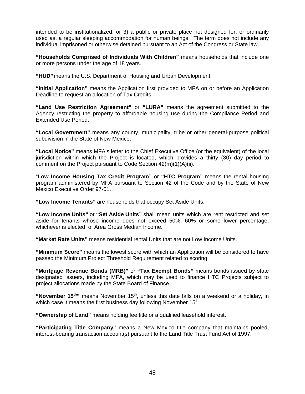intended to be institutionalized; or 3) a public or private place not designed for, or ordinarily used as, a regular sleeping accommodation for human beings. The term does not include any individual imprisoned or otherwise detained pursuant to an Act of the Congress or State law.

**"Households Comprised of Individuals With Children"** means households that include one or more persons under the age of 18 years.

**"HUD"** means the U.S. Department of Housing and Urban Development.

**"Initial Application"** means the Application first provided to MFA on or before an Application Deadline to request an allocation of Tax Credits.

**"Land Use Restriction Agreement"** or **"LURA"** means the agreement submitted to the Agency restricting the property to affordable housing use during the Compliance Period and Extended Use Period.

**"Local Government"** means any county, municipality, tribe or other general-purpose political subdivision in the State of New Mexico.

**"Local Notice"** means MFA's letter to the Chief Executive Office (or the equivalent) of the local jurisdiction within which the Project is located, which provides a thirty (30) day period to comment on the Project pursuant to Code Section 42(m)(1)(A)(ii).

"**Low Income Housing Tax Credit Program"** or **"HTC Program"** means the rental housing program administered by MFA pursuant to Section 42 of the Code and by the State of New Mexico Executive Order 97-01.

**"Low Income Tenants"** are households that occupy Set Aside Units.

**"Low Income Units"** or **"Set Aside Units"** shall mean units which are rent restricted and set aside for tenants whose income does not exceed 50%, 60% or some lower percentage, whichever is elected, of Area Gross Median Income.

**"Market Rate Units"** means residential rental Units that are not Low Income Units.

**"Minimum Score"** means the lowest score with which an Application will be considered to have passed the Minimum Project Threshold Requirement related to scoring.

**"Mortgage Revenue Bonds (MRB)"** or **"Tax Exempt Bonds"** means bonds issued by state designated issuers, including MFA, which may be used to finance HTC Projects subject to project allocations made by the State Board of Finance.

"November 15<sup>th</sup>" means November 15<sup>th</sup>, unless this date falls on a weekend or a holiday, in which case it means the first business day following November  $15<sup>th</sup>$ .

**"Ownership of Land"** means holding fee title or a qualified leasehold interest.

**"Participating Title Company"** means a New Mexico title company that maintains pooled, interest-bearing transaction account(s) pursuant to the Land Title Trust Fund Act of 1997.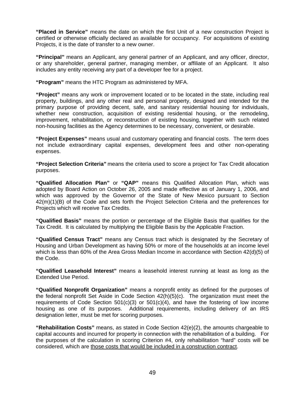**"Placed in Service"** means the date on which the first Unit of a new construction Project is certified or otherwise officially declared as available for occupancy. For acquisitions of existing Projects, it is the date of transfer to a new owner.

**"Principal"** means an Applicant, any general partner of an Applicant, and any officer, director, or any shareholder, general partner, managing member, or affiliate of an Applicant. It also includes any entity receiving any part of a developer fee for a project.

**"Program"** means the HTC Program as administered by MFA.

**"Project"** means any work or improvement located or to be located in the state, including real property, buildings, and any other real and personal property, designed and intended for the primary purpose of providing decent, safe, and sanitary residential housing for individuals, whether new construction, acquisition of existing residential housing, or the remodeling, improvement, rehabilitation, or reconstruction of existing housing, together with such related non-housing facilities as the Agency determines to be necessary, convenient, or desirable.

**"Project Expenses"** means usual and customary operating and financial costs. The term does not include extraordinary capital expenses, development fees and other non-operating expenses.

**"Project Selection Criteria"** means the criteria used to score a project for Tax Credit allocation purposes.

**"Qualified Allocation Plan"** or **"QAP"** means this Qualified Allocation Plan, which was adopted by Board Action on October 26, 2005 and made effective as of January 1, 2006, and which was approved by the Governor of the State of New Mexico pursuant to Section 42(m)(1)(B) of the Code and sets forth the Project Selection Criteria and the preferences for Projects which will receive Tax Credits.

**"Qualified Basis"** means the portion or percentage of the Eligible Basis that qualifies for the Tax Credit. It is calculated by multiplying the Eligible Basis by the Applicable Fraction.

**"Qualified Census Tract"** means any Census tract which is designated by the Secretary of Housing and Urban Development as having 50% or more of the households at an income level which is less than 60% of the Area Gross Median Income in accordance with Section 42(d)(5) of the Code.

**"Qualified Leasehold Interest"** means a leasehold interest running at least as long as the Extended Use Period.

**"Qualified Nonprofit Organization"** means a nonprofit entity as defined for the purposes of the federal nonprofit Set Aside in Code Section 42(h)(5)(c). The organization must meet the requirements of Code Section  $501(c)(3)$  or  $501(c)(4)$ , and have the fostering of low income housing as one of its purposes. Additional requirements, including delivery of an IRS designation letter, must be met for scoring purposes.

**"Rehabilitation Costs"** means, as stated in Code Section 42(e)(2), the amounts chargeable to capital accounts and incurred for property in connection with the rehabilitation of a building. For the purposes of the calculation in scoring Criterion #4, only rehabilitation "hard" costs will be considered, which are those costs that would be included in a construction contract.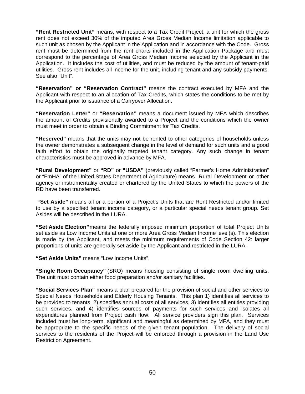**"Rent Restricted Unit"** means, with respect to a Tax Credit Project, a unit for which the gross rent does not exceed 30% of the imputed Area Gross Median Income limitation applicable to such unit as chosen by the Applicant in the Application and in accordance with the Code. Gross rent must be determined from the rent charts included in the Application Package and must correspond to the percentage of Area Gross Median Income selected by the Applicant in the Application. It includes the cost of utilities, and must be reduced by the amount of tenant-paid utilities. Gross rent includes all income for the unit, including tenant and any subsidy payments. See also "Unit".

**"Reservation" or "Reservation Contract"** means the contract executed by MFA and the Applicant with respect to an allocation of Tax Credits, which states the conditions to be met by the Applicant prior to issuance of a Carryover Allocation.

**"Reservation Letter"** or **"Reservation"** means a document issued by MFA which describes the amount of Credits provisionally awarded to a Project and the conditions which the owner must meet in order to obtain a Binding Commitment for Tax Credits.

**"Reserved"** means that the units may not be rented to other categories of households unless the owner demonstrates a subsequent change in the level of demand for such units and a good faith effort to obtain the originally targeted tenant category. Any such change in tenant characteristics must be approved in advance by MFA.

**"Rural Development"** or **"RD"** or **"USDA"** (previously called "Farmer's Home Administration" or "FmHA" of the United States Department of Agriculture) means Rural Development or other agency or instrumentality created or chartered by the United States to which the powers of the RD have been transferred.

 **"Set Aside"** means all or a portion of a Project's Units that are Rent Restricted and/or limited to use by a specified tenant income category, or a particular special needs tenant group. Set Asides will be described in the LURA.

**"Set Aside Election"** means the federally imposed minimum proportion of total Project Units set aside as Low Income Units at one or more Area Gross Median Income level(s). This election is made by the Applicant, and meets the minimum requirements of Code Section 42: larger proportions of units are generally set aside by the Applicant and restricted in the LURA.

**"Set Aside Units"** means "Low Income Units".

**"Single Room Occupancy"** (SRO) means housing consisting of single room dwelling units. The unit must contain either food preparation and/or sanitary facilities.

**"Social Services Plan"** means a plan prepared for the provision of social and other services to Special Needs Households and Elderly Housing Tenants. This plan 1) identifies all services to be provided to tenants, 2) specifies annual costs of all services, 3) identifies all entities providing such services, and 4) identifies sources of payments for such services and isolates all expenditures planned from Project cash flow. All service providers sign this plan. Services included must be long-term, significant and meaningful as determined by MFA, and they must be appropriate to the specific needs of the given tenant population. The delivery of social services to the residents of the Project will be enforced through a provision in the Land Use Restriction Agreement.